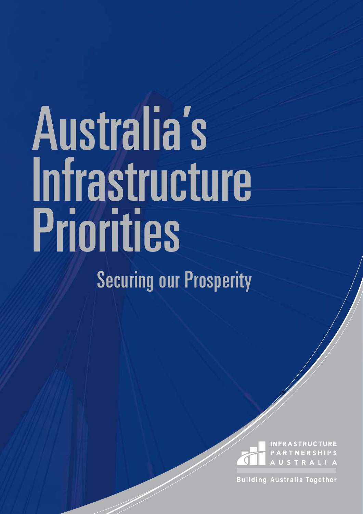## Australia's Infrastructure Priorities

Securing our Prosperity



**Building Australia Together**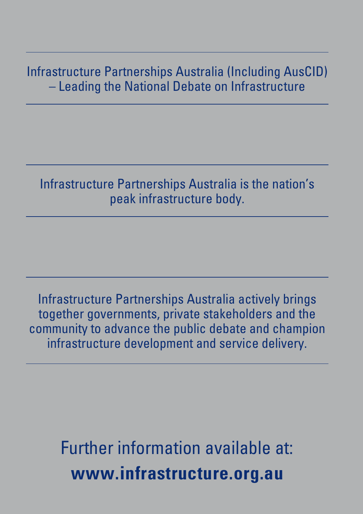#### Infrastructure Partnerships Australia (Including AusCID) – Leading the National Debate on Infrastructure

#### Infrastructure Partnerships Australia is the nation's peak infrastructure body.

Infrastructure Partnerships Australia actively brings together governments, private stakeholders and the community to advance the public debate and champion infrastructure development and service delivery.

## Further information available at: **www.infrastructure.org.au**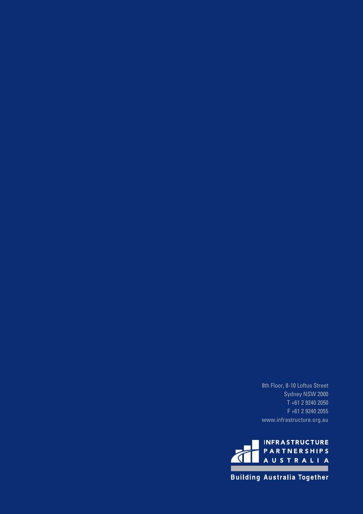8th Floor, 8-10 Loftus Street Sydney NSW 2000 T +61 2 9240 2050 F +61 2 9240 2055 www.infrastructure.org.au



**Building Australia Together**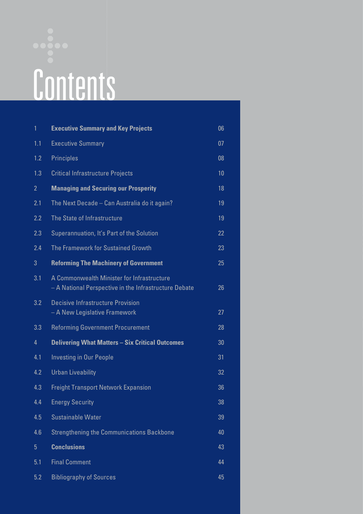# Contents

| 1              | <b>Executive Summary and Key Projects</b>                                                           | 06 |
|----------------|-----------------------------------------------------------------------------------------------------|----|
| 1.1            | <b>Executive Summary</b>                                                                            | 07 |
| 1.2            | <b>Principles</b>                                                                                   | 08 |
| 1.3            | <b>Critical Infrastructure Projects</b>                                                             | 10 |
| $\overline{2}$ | <b>Managing and Securing our Prosperity</b>                                                         | 18 |
| 2.1            | The Next Decade - Can Australia do it again?                                                        | 19 |
| 2.2            | The State of Infrastructure                                                                         | 19 |
| 2.3            | Superannuation, It's Part of the Solution                                                           | 22 |
| 2.4            | The Framework for Sustained Growth                                                                  | 23 |
| 3              | <b>Reforming The Machinery of Government</b>                                                        | 25 |
| 3.1            | A Commonwealth Minister for Infrastructure<br>- A National Perspective in the Infrastructure Debate | 26 |
| 3.2            | <b>Decisive Infrastructure Provision</b><br>- A New Legislative Framework                           | 27 |
| 3.3            | <b>Reforming Government Procurement</b>                                                             | 28 |
| 4              | <b>Delivering What Matters - Six Critical Outcomes</b>                                              | 30 |
| 4.1            | <b>Investing in Our People</b>                                                                      | 31 |
| 4.2            | <b>Urban Liveability</b>                                                                            | 32 |
| 4.3            | <b>Freight Transport Network Expansion</b>                                                          | 36 |
| 4.4            | <b>Energy Security</b>                                                                              | 38 |
| 4.5            | <b>Sustainable Water</b>                                                                            | 39 |
| 4.6            | <b>Strengthening the Communications Backbone</b>                                                    | 40 |
| 5              | <b>Conclusions</b>                                                                                  | 43 |
| 5.1            | <b>Final Comment</b>                                                                                | 44 |
| 5.2            | <b>Bibliography of Sources</b>                                                                      | 45 |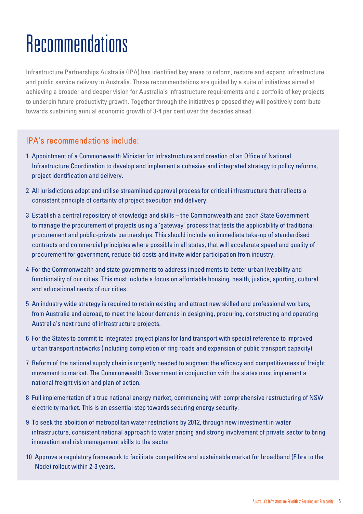## **Recommendations**

Infrastructure Partnerships Australia (IPA) has identified key areas to reform, restore and expand infrastructure and public service delivery in Australia. These recommendations are guided by a suite of initiatives aimed at achieving a broader and deeper vision for Australia's infrastructure requirements and a portfolio of key projects to underpin future productivity growth. Together through the initiatives proposed they will positively contribute towards sustaining annual economic growth of 3-4 per cent over the decades ahead.

#### IPA's recommendations include:

- 1 Appointment of a Commonwealth Minister for Infrastructure and creation of an Office of National Infrastructure Coordination to develop and implement a cohesive and integrated strategy to policy reforms, project identification and delivery.
- 2 All jurisdictions adopt and utilise streamlined approval process for critical infrastructure that reflects a consistent principle of certainty of project execution and delivery.
- 3 Establish a central repository of knowledge and skills the Commonwealth and each State Government to manage the procurement of projects using a 'gateway' process that tests the applicability of traditional procurement and public-private partnerships. This should include an immediate take-up of standardised contracts and commercial principles where possible in all states, that will accelerate speed and quality of procurement for government, reduce bid costs and invite wider participation from industry.
- 4 For the Commonwealth and state governments to address impediments to better urban liveability and functionality of our cities. This must include a focus on affordable housing, health, justice, sporting, cultural and educational needs of our cities.
- 5 An industry wide strategy is required to retain existing and attract new skilled and professional workers, from Australia and abroad, to meet the labour demands in designing, procuring, constructing and operating Australia's next round of infrastructure projects.
- 6 For the States to commit to integrated project plans for land transport with special reference to improved urban transport networks (including completion of ring roads and expansion of public transport capacity).
- 7 Reform of the national supply chain is urgently needed to augment the efficacy and competitiveness of freight movement to market. The Commonwealth Government in conjunction with the states must implement a national freight vision and plan of action.
- 8 Full implementation of a true national energy market, commencing with comprehensive restructuring of NSW electricity market. This is an essential step towards securing energy security.
- 9 To seek the abolition of metropolitan water restrictions by 2012, through new investment in water infrastructure, consistent national approach to water pricing and strong involvement of private sector to bring innovation and risk management skills to the sector.
- 10 Approve a regulatory framework to facilitate competitive and sustainable market for broadband (Fibre to the Node) rollout within 2-3 years.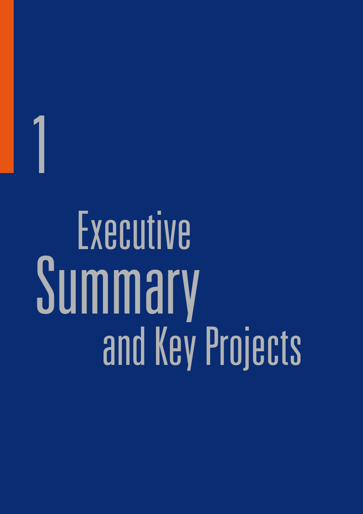## **Executive** Summary and Key Projects

1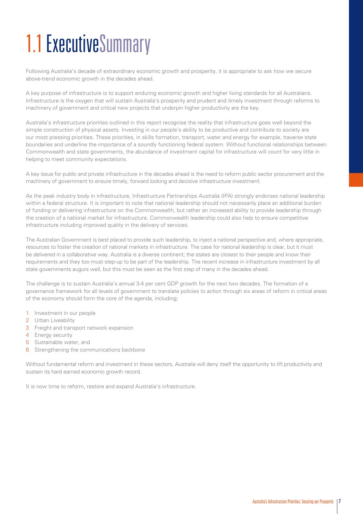## 1.1 ExecutiveSummary

Following Australia's decade of extraordinary economic growth and prosperity, it is appropriate to ask how we secure above-trend economic growth in the decades ahead.

A key purpose of infrastructure is to support enduring economic growth and higher living standards for all Australians. Infrastructure is the oxygen that will sustain Australia's prosperity and prudent and timely investment through reforms to machinery of government and critical new projects that underpin higher productivity are the key.

Australia's infrastructure priorities outlined in this report recognise the reality that infrastructure goes well beyond the simple construction of physical assets. Investing in our people's ability to be productive and contribute to society are our most pressing priorities. These priorities, in skills formation, transport, water and energy for example, traverse state boundaries and underline the importance of a soundly functioning federal system. Without functional relationships between Commonwealth and state governments, the abundance of investment capital for infrastructure will count for very little in helping to meet community expectations.

A key issue for public and private infrastructure in the decades ahead is the need to reform public sector procurement and the machinery of government to ensure timely, forward looking and decisive infrastructure investment.

As the peak industry body in infrastructure, Infrastructure Partnerships Australia (IPA) strongly endorses national leadership within a federal structure. It is important to note that national leadership should not necessarily place an additional burden of funding or delivering infrastructure on the Commonwealth, but rather an increased ability to provide leadership through the creation of a national market for infrastructure. Commonwealth leadership could also help to ensure competitive infrastructure including improved quality in the delivery of services.

The Australian Government is best placed to provide such leadership, to inject a national perspective and, where appropriate, resources to foster the creation of national markets in infrastructure. The case for national leadership is clear, but it must be delivered in a collaborative way. Australia is a diverse continent; the states are closest to their people and know their requirements and they too must step-up to be part of the leadership. The recent increase in infrastructure investment by all state governments augurs well, but this must be seen as the first step of many in the decades ahead.

The challenge is to sustain Australia's annual 3-4 per cent GDP growth for the next two decades. The formation of a governance framework for all levels of government to translate policies to action through six areas of reform in critical areas of the economy should form the core of the agenda, including;

- 1 Investment in our people
- 2 Urban Liveability
- 3 Freight and transport network expansion
- 4 Energy security
- 5 Sustainable water, and
- 6 Strengthening the communications backbone

Without fundamental reform and investment in these sectors, Australia will deny itself the opportunity to lift productivity and sustain its hard earned economic growth record.

It is now time to reform, restore and expand Australia's infrastructure.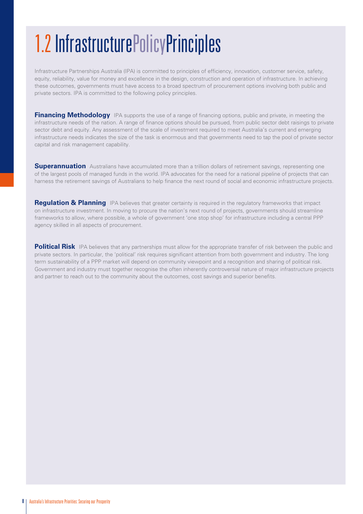## 1.2 InfrastructurePolicyPrinciples

Infrastructure Partnerships Australia (IPA) is committed to principles of efficiency, innovation, customer service, safety, equity, reliability, value for money and excellence in the design, construction and operation of infrastructure. In achieving these outcomes, governments must have access to a broad spectrum of procurement options involving both public and private sectors. IPA is committed to the following policy principles.

**Financing Methodology** IPA supports the use of a range of financing options, public and private, in meeting the infrastructure needs of the nation. A range of finance options should be pursued, from public sector debt raisings to private sector debt and equity. Any assessment of the scale of investment required to meet Australia's current and emerging infrastructure needs indicates the size of the task is enormous and that governments need to tap the pool of private sector capital and risk management capability.

**Superannuation** Australians have accumulated more than a trillion dollars of retirement savings, representing one of the largest pools of managed funds in the world. IPA advocates for the need for a national pipeline of projects that can harness the retirement savings of Australians to help finance the next round of social and economic infrastructure projects.

**Regulation & Planning** IPA believes that greater certainty is required in the regulatory frameworks that impact on infrastructure investment. In moving to procure the nation's next round of projects, governments should streamline frameworks to allow, where possible, a whole of government 'one stop shop' for infrastructure including a central PPP agency skilled in all aspects of procurement.

**Political Risk** IPA believes that any partnerships must allow for the appropriate transfer of risk between the public and private sectors. In particular, the 'political' risk requires significant attention from both government and industry. The long term sustainability of a PPP market will depend on community viewpoint and a recognition and sharing of political risk. Government and industry must together recognise the often inherently controversial nature of major infrastructure projects and partner to reach out to the community about the outcomes, cost savings and superior benefits.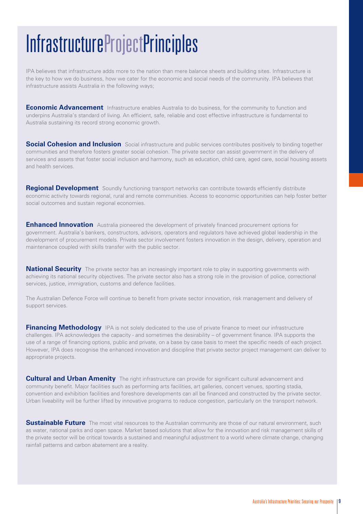## InfrastructureProjectPrinciples

IPA believes that infrastructure adds more to the nation than mere balance sheets and building sites. Infrastructure is the key to how we do business, how we cater for the economic and social needs of the community. IPA believes that infrastructure assists Australia in the following ways;

**Economic Advancement** Infrastructure enables Australia to do business, for the community to function and underpins Australia's standard of living. An efficient, safe, reliable and cost effective infrastructure is fundamental to Australia sustaining its record strong economic growth.

**Social Cohesion and Inclusion** Social infrastructure and public services contributes positively to binding together communities and therefore fosters greater social cohesion. The private sector can assist government in the delivery of services and assets that foster social inclusion and harmony, such as education, child care, aged care, social housing assets and health services.

**Regional Development** Soundly functioning transport networks can contribute towards efficiently distribute economic activity towards regional, rural and remote communities. Access to economic opportunities can help foster better social outcomes and sustain regional economies.

**Enhanced Innovation** Australia pioneered the development of privately financed procurement options for government. Australia's bankers, constructors, advisors, operators and regulators have achieved global leadership in the development of procurement models. Private sector involvement fosters innovation in the design, delivery, operation and maintenance coupled with skills transfer with the public sector.

**National Security** The private sector has an increasingly important role to play in supporting governments with achieving its national security objectives. The private sector also has a strong role in the provision of police, correctional services, justice, immigration, customs and defence facilities.

The Australian Defence Force will continue to benefit from private sector innovation, risk management and delivery of support services.

**Financing Methodology** IPA is not solely dedicated to the use of private finance to meet our infrastructure challenges. IPA acknowledges the capacity - and sometimes the desirability – of government finance. IPA supports the use of a range of financing options, public and private, on a base by case basis to meet the specific needs of each project. However, IPA does recognise the enhanced innovation and discipline that private sector project management can deliver to appropriate projects.

**Cultural and Urban Amenity** The right infrastructure can provide for significant cultural advancement and community benefit. Major facilities such as performing arts facilities, art galleries, concert venues, sporting stadia, convention and exhibition facilities and foreshore developments can all be financed and constructed by the private sector. Urban liveability will be further lifted by innovative programs to reduce congestion, particularly on the transport network.

**Sustainable Future** The most vital resources to the Australian community are those of our natural environment, such as water, national parks and open space. Market based solutions that allow for the innovation and risk management skills of the private sector will be critical towards a sustained and meaningful adjustment to a world where climate change, changing rainfall patterns and carbon abatement are a reality.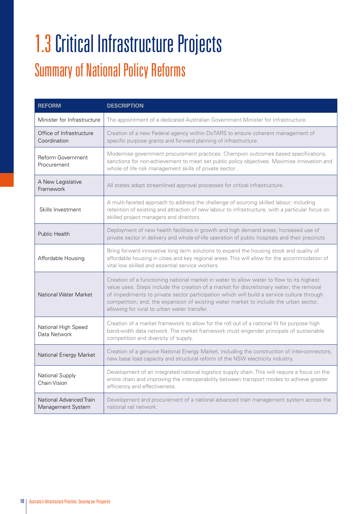## 1.3 Critical Infrastructure Projects

## Summary of National Policy Reforms

| <b>REFORM</b>                                | <b>DESCRIPTION</b>                                                                                                                                                                                                                                                                                                                                                                                                       |
|----------------------------------------------|--------------------------------------------------------------------------------------------------------------------------------------------------------------------------------------------------------------------------------------------------------------------------------------------------------------------------------------------------------------------------------------------------------------------------|
| Minister for Infrastructure                  | The appointment of a dedicated Australian Government Minister for Infrastructure.                                                                                                                                                                                                                                                                                                                                        |
| Office of Infrastructure<br>Coordination     | Creation of a new Federal agency within DoTARS to ensure coherent management of<br>specific purpose grants and forward planning of infrastructure.                                                                                                                                                                                                                                                                       |
| Reform Government<br>Procurement             | Modernise government procurement practices. Champion outcomes based specifications,<br>sanctions for non-achievement to meet set public policy objectives. Maximise innovation and<br>whole of life risk management skills of private sector.                                                                                                                                                                            |
| A New Legislative<br>Framework               | All states adopt streamlined approval processes for critical infrastructure.                                                                                                                                                                                                                                                                                                                                             |
| Skills Investment                            | A multi-faceted approach to address the challenge of sourcing skilled labour; including<br>retention of existing and attraction of new labour to infrastructure, with a particular focus on<br>skilled project managers and directors.                                                                                                                                                                                   |
| Public Health                                | Deployment of new health facilities in growth and high demand areas; Increased use of<br>private sector in delivery and whole-of-life operation of public hospitals and their precincts                                                                                                                                                                                                                                  |
| Affordable Housing                           | Bring forward innovative long term solutions to expand the housing stock and quality of<br>affordable housing in cities and key regional areas. This will allow for the accommodation of<br>vital low skilled and essential service workers.                                                                                                                                                                             |
| <b>National Water Market</b>                 | Creation of a functioning national market in water to allow water to flow to its highest<br>value uses. Steps include the creation of a market for discretionary water; the removal<br>of impediments to private sector participation which will build a service culture through<br>competition; and, the expansion of existing water market to include the urban sector,<br>allowing for rural to urban water transfer. |
| National High Speed<br>Data Network          | Creation of a market framework to allow for the roll out of a national fit for purpose high<br>band-width data network. The market framework must engender principals of sustainable<br>competition and diversity of supply.                                                                                                                                                                                             |
| National Energy Market                       | Creation of a genuine National Energy Market, including the construction of inter-connectors,<br>new base load capacity and structural reform of the NSW electricity industry.                                                                                                                                                                                                                                           |
| National Supply<br><b>Chain Vision</b>       | Development of an integrated national logistics supply chain. This will require a focus on the<br>entire chain and improving the interoperability between transport modes to achieve greater<br>efficiency and effectiveness.                                                                                                                                                                                            |
| National Advanced Train<br>Management System | Development and procurement of a national advanced train management system across the<br>national rail network.                                                                                                                                                                                                                                                                                                          |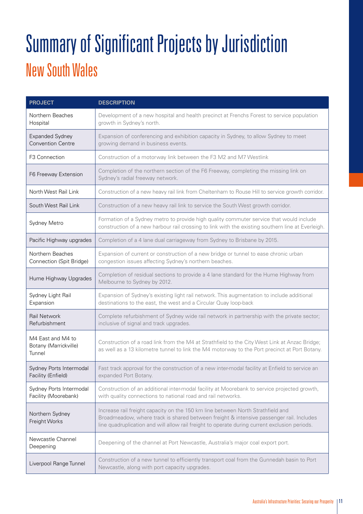## Summary of Significant Projects by Jurisdiction New South Wales

| <b>PROJECT</b>                                       | <b>DESCRIPTION</b>                                                                                                                                                                                                                                                          |
|------------------------------------------------------|-----------------------------------------------------------------------------------------------------------------------------------------------------------------------------------------------------------------------------------------------------------------------------|
| Northern Beaches<br>Hospital                         | Development of a new hospital and health precinct at Frenchs Forest to service population<br>growth in Sydney's north.                                                                                                                                                      |
| <b>Expanded Sydney</b><br><b>Convention Centre</b>   | Expansion of conferencing and exhibition capacity in Sydney, to allow Sydney to meet<br>growing demand in business events.                                                                                                                                                  |
| F3 Connection                                        | Construction of a motorway link between the F3 M2 and M7 Westlink                                                                                                                                                                                                           |
| F6 Freeway Extension                                 | Completion of the northern section of the F6 Freeway, completing the missing link on<br>Sydney's radial freeway network.                                                                                                                                                    |
| North West Rail Link                                 | Construction of a new heavy rail link from Cheltenham to Rouse Hill to service growth corridor.                                                                                                                                                                             |
| South West Rail Link                                 | Construction of a new heavy rail link to service the South West growth corridor.                                                                                                                                                                                            |
| Sydney Metro                                         | Formation of a Sydney metro to provide high quality commuter service that would include<br>construction of a new harbour rail crossing to link with the existing southern line at Everleigh.                                                                                |
| Pacific Highway upgrades                             | Completion of a 4 lane dual carriageway from Sydney to Brisbane by 2015.                                                                                                                                                                                                    |
| Northern Beaches<br>Connection (Spit Bridge)         | Expansion of current or construction of a new bridge or tunnel to ease chronic urban<br>congestion issues affecting Sydney's northern beaches.                                                                                                                              |
| Hume Highway Upgrades                                | Completion of residual sections to provide a 4 lane standard for the Hume Highway from<br>Melbourne to Sydney by 2012.                                                                                                                                                      |
| Sydney Light Rail<br>Expansion                       | Expansion of Sydney's existing light rail network. This augmentation to include additional<br>destinations to the east, the west and a Circular Quay loop-back                                                                                                              |
| Rail Network<br>Refurbishment                        | Complete refurbishment of Sydney wide rail network in partnership with the private sector;<br>inclusive of signal and track upgrades.                                                                                                                                       |
| M4 East and M4 to<br>Botany (Marrickville)<br>Tunnel | Construction of a road link from the M4 at Strathfield to the City West Link at Anzac Bridge;<br>as well as a 13 kilometre tunnel to link the M4 motorway to the Port precinct at Port Botany.                                                                              |
| Sydney Ports Intermodal<br>Facility (Enfield)        | Fast track approval for the construction of a new inter-modal facility at Enfield to service an<br>expanded Port Botany.                                                                                                                                                    |
| Sydney Ports Intermodal<br>Facility (Moorebank)      | Construction of an additional inter-modal facility at Moorebank to service projected growth,<br>with quality connections to national road and rail networks.                                                                                                                |
| Northern Sydney<br>Freight Works                     | Increase rail freight capacity on the 150 km line between North Strathfield and<br>Broadmeadow, where track is shared between freight & intensive passenger rail. Includes<br>line quadruplication and will allow rail freight to operate during current exclusion periods. |
| Newcastle Channel<br>Deepening                       | Deepening of the channel at Port Newcastle, Australia's major coal export port.                                                                                                                                                                                             |
| Liverpool Range Tunnel                               | Construction of a new tunnel to efficiently transport coal from the Gunnedah basin to Port<br>Newcastle, along with port capacity upgrades.                                                                                                                                 |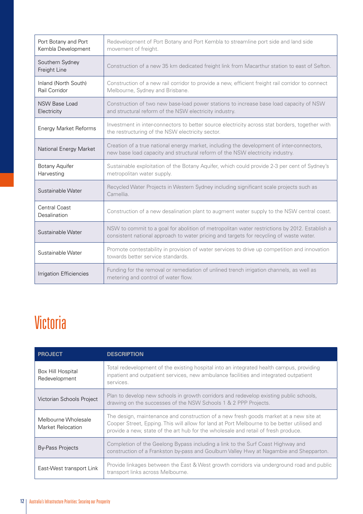| Port Botany and Port<br>Kembla Development | Redevelopment of Port Botany and Port Kembla to streamline port side and land side<br>movement of freight.                                                                               |
|--------------------------------------------|------------------------------------------------------------------------------------------------------------------------------------------------------------------------------------------|
| Southern Sydney<br>Freight Line            | Construction of a new 35 km dedicated freight link from Macarthur station to east of Sefton.                                                                                             |
| Inland (North South)<br>Rail Corridor      | Construction of a new rail corridor to provide a new, efficient freight rail corridor to connect<br>Melbourne, Sydney and Brisbane.                                                      |
| NSW Base Load<br>Electricity               | Construction of two new base-load power stations to increase base load capacity of NSW<br>and structural reform of the NSW electricity industry.                                         |
| <b>Energy Market Reforms</b>               | Investment in inter-connectors to better source electricity across stat borders, together with<br>the restructuring of the NSW electricity sector.                                       |
| National Energy Market                     | Creation of a true national energy market, including the development of inter-connectors,<br>new base load capacity and structural reform of the NSW electricity industry.               |
| <b>Botany Aquifer</b><br>Harvesting        | Sustainable exploitation of the Botany Aquifer, which could provide 2-3 per cent of Sydney's<br>metropolitan water supply.                                                               |
| Sustainable Water                          | Recycled Water Projects in Western Sydney including significant scale projects such as<br>Camellia.                                                                                      |
| <b>Central Coast</b><br>Desalination       | Construction of a new desalination plant to augment water supply to the NSW central coast.                                                                                               |
| Sustainable Water                          | NSW to commit to a goal for abolition of metropolitan water restrictions by 2012. Establish a<br>consistent national approach to water pricing and targets for recycling of waste water. |
| Sustainable Water                          | Promote contestability in provision of water services to drive up competition and innovation<br>towards better service standards.                                                        |
| Irrigation Efficiencies                    | Funding for the removal or remediation of unlined trench irrigation channels, as well as<br>metering and control of water flow.                                                          |

### Victoria

| <b>PROJECT</b>                           | <b>DESCRIPTION</b>                                                                                                                                                                                                                                                         |
|------------------------------------------|----------------------------------------------------------------------------------------------------------------------------------------------------------------------------------------------------------------------------------------------------------------------------|
| Box Hill Hospital<br>Redevelopment       | Total redevelopment of the existing hospital into an integrated health campus, providing<br>inpatient and outpatient services, new ambulance facilities and integrated outpatient<br>services.                                                                             |
| Victorian Schools Project                | Plan to develop new schools in growth corridors and redevelop existing public schools,<br>drawing on the successes of the NSW Schools 1 & 2 PPP Projects.                                                                                                                  |
| Melbourne Wholesale<br>Market Relocation | The design, maintenance and construction of a new fresh goods market at a new site at<br>Cooper Street, Epping. This will allow for land at Port Melbourne to be better utilised and<br>provide a new, state of the art hub for the wholesale and retail of fresh produce. |
| <b>By-Pass Projects</b>                  | Completion of the Geelong Bypass including a link to the Surf Coast Highway and<br>construction of a Frankston by-pass and Goulburn Valley Hwy at Nagambie and Shepparton.                                                                                                 |
| East-West transport Link                 | Provide linkages between the East & West growth corridors via underground road and public<br>transport links across Melbourne.                                                                                                                                             |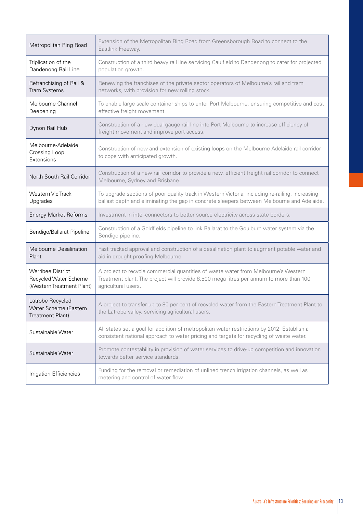| Metropolitan Ring Road                                                         | Extension of the Metropolitan Ring Road from Greensborough Road to connect to the<br>Eastlink Freeway.                                                                                              |
|--------------------------------------------------------------------------------|-----------------------------------------------------------------------------------------------------------------------------------------------------------------------------------------------------|
| Triplication of the<br>Dandenong Rail Line                                     | Construction of a third heavy rail line servicing Caulfield to Dandenong to cater for projected<br>population growth.                                                                               |
| Refranchising of Rail &<br>Tram Systems                                        | Renewing the franchises of the private sector operators of Melbourne's rail and tram<br>networks, with provision for new rolling stock.                                                             |
| Melbourne Channel<br>Deepening                                                 | To enable large scale container ships to enter Port Melbourne, ensuring competitive and cost<br>effective freight movement.                                                                         |
| Dynon Rail Hub                                                                 | Construction of a new dual gauge rail line into Port Melbourne to increase efficiency of<br>freight movement and improve port access.                                                               |
| Melbourne-Adelaide<br>Crossing Loop<br>Extensions                              | Construction of new and extension of existing loops on the Melbourne-Adelaide rail corridor<br>to cope with anticipated growth.                                                                     |
| North South Rail Corridor                                                      | Construction of a new rail corridor to provide a new, efficient freight rail corridor to connect<br>Melbourne, Sydney and Brisbane.                                                                 |
| Western Vic Track<br>Upgrades                                                  | To upgrade sections of poor quality track in Western Victoria, including re-railing, increasing<br>ballast depth and eliminating the gap in concrete sleepers between Melbourne and Adelaide.       |
| <b>Energy Market Reforms</b>                                                   | Investment in inter-connectors to better source electricity across state borders.                                                                                                                   |
| Bendigo/Ballarat Pipeline                                                      | Construction of a Goldfields pipeline to link Ballarat to the Goulburn water system via the<br>Bendigo pipeline.                                                                                    |
| Melbourne Desalination<br>Plant                                                | Fast tracked approval and construction of a desalination plant to augment potable water and<br>aid in drought-proofing Melbourne.                                                                   |
| <b>Werribee District</b><br>Recycled Water Scheme<br>(Western Treatment Plant) | A project to recycle commercial quantities of waste water from Melbourne's Western<br>Treatment plant. The project will provide 8,500 mega litres per annum to more than 100<br>agricultural users. |
|                                                                                |                                                                                                                                                                                                     |
| Latrobe Recycled<br>Water Scheme (Eastern<br>Treatment Plant)                  | A project to transfer up to 80 per cent of recycled water from the Eastern Treatment Plant to<br>the Latrobe valley, servicing agricultural users.                                                  |
| Sustainable Water                                                              | All states set a goal for abolition of metropolitan water restrictions by 2012. Establish a<br>consistent national approach to water pricing and targets for recycling of waste water.              |
| Sustainable Water                                                              | Promote contestability in provision of water services to drive-up competition and innovation<br>towards better service standards.                                                                   |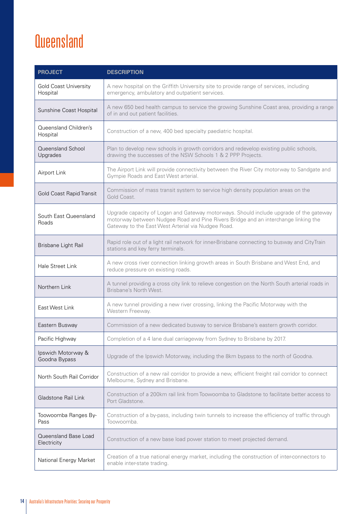### **Queensland**

| <b>PROJECT</b>                           | <b>DESCRIPTION</b>                                                                                                                                                                                                                 |
|------------------------------------------|------------------------------------------------------------------------------------------------------------------------------------------------------------------------------------------------------------------------------------|
| <b>Gold Coast University</b><br>Hospital | A new hospital on the Griffith University site to provide range of services, including<br>emergency, ambulatory and outpatient services.                                                                                           |
| Sunshine Coast Hospital                  | A new 650 bed health campus to service the growing Sunshine Coast area, providing a range<br>of in and out patient facilities.                                                                                                     |
| Queensland Children's<br>Hospital        | Construction of a new, 400 bed specialty paediatric hospital.                                                                                                                                                                      |
| Queensland School<br>Upgrades            | Plan to develop new schools in growth corridors and redevelop existing public schools,<br>drawing the successes of the NSW Schools 1 & 2 PPP Projects.                                                                             |
| Airport Link                             | The Airport Link will provide connectivity between the River City motorway to Sandgate and<br>Gympie Roads and East West arterial.                                                                                                 |
| Gold Coast Rapid Transit                 | Commission of mass transit system to service high density population areas on the<br>Gold Coast.                                                                                                                                   |
| South East Queensland<br>Roads           | Upgrade capacity of Logan and Gateway motorways. Should include upgrade of the gateway<br>motorway between Nudgee Road and Pine Rivers Bridge and an interchange linking the<br>Gateway to the East West Arterial via Nudgee Road. |
| Brisbane Light Rail                      | Rapid role out of a light rail network for inner-Brisbane connecting to busway and CityTrain<br>stations and key ferry terminals.                                                                                                  |
| Hale Street Link                         | A new cross river connection linking growth areas in South Brisbane and West End, and<br>reduce pressure on existing roads.                                                                                                        |
| Northern Link                            | A tunnel providing a cross city link to relieve congestion on the North South arterial roads in<br>Brisbane's North West.                                                                                                          |
| East West Link                           | A new tunnel providing a new river crossing, linking the Pacific Motorway with the<br>Western Freeway.                                                                                                                             |
| Eastern Busway                           | Commission of a new dedicated busway to service Brisbane's eastern growth corridor.                                                                                                                                                |
| Pacific Highway                          | Completion of a 4 lane dual carriageway from Sydney to Brisbane by 2017.                                                                                                                                                           |
| Ipswich Motorway &<br>Goodna Bypass      | Upgrade of the Ipswich Motorway, including the 8km bypass to the north of Goodna.                                                                                                                                                  |
| North South Rail Corridor                | Construction of a new rail corridor to provide a new, efficient freight rail corridor to connect<br>Melbourne, Sydney and Brisbane.                                                                                                |
| Gladstone Rail Link                      | Construction of a 200km rail link from Toowoomba to Gladstone to facilitate better access to<br>Port Gladstone.                                                                                                                    |
| Toowoomba Ranges By-<br>Pass             | Construction of a by-pass, including twin tunnels to increase the efficiency of traffic through<br>Toowoomba.                                                                                                                      |
| Queensland Base Load<br>Electricity      | Construction of a new base load power station to meet projected demand.                                                                                                                                                            |
| National Energy Market                   | Creation of a true national energy market, including the construction of inter-connectors to<br>enable inter-state trading.                                                                                                        |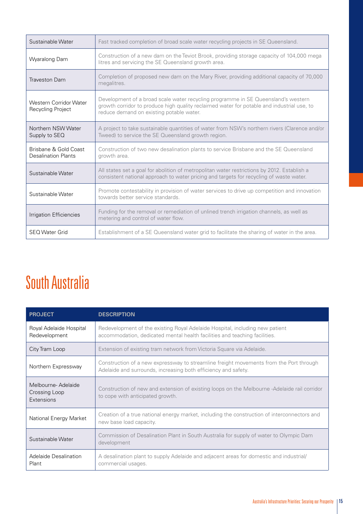| Sustainable Water                                   | Fast tracked completion of broad scale water recycling projects in SE Queensland.                                                                                                                                           |
|-----------------------------------------------------|-----------------------------------------------------------------------------------------------------------------------------------------------------------------------------------------------------------------------------|
| Wyaralong Dam                                       | Construction of a new dam on the Teviot Brook, providing storage capacity of 104,000 mega<br>litres and servicing the SE Queensland growth area.                                                                            |
| <b>Traveston Dam</b>                                | Completion of proposed new dam on the Mary River, providing additional capacity of 70,000<br>megalitres.                                                                                                                    |
| Western Corridor Water<br>Recycling Project         | Development of a broad scale water recycling programme in SE Queensland's western<br>growth corridor to produce high quality reclaimed water for potable and industrial use, to<br>reduce demand on existing potable water. |
| Northern NSW Water<br>Supply to SEQ                 | A project to take sustainable quantities of water from NSW's northern rivers (Clarence and/or<br>Tweed) to service the SE Queensland growth region.                                                                         |
| Brisbane & Gold Coast<br><b>Desalination Plants</b> | Construction of two new desalination plants to service Brisbane and the SE Queensland<br>growth area.                                                                                                                       |
| Sustainable Water                                   | All states set a goal for abolition of metropolitan water restrictions by 2012. Establish a<br>consistent national approach to water pricing and targets for recycling of waste water.                                      |
| Sustainable Water                                   | Promote contestability in provision of water services to drive up competition and innovation<br>towards better service standards.                                                                                           |
| Irrigation Efficiencies                             | Funding for the removal or remediation of unlined trench irrigation channels, as well as<br>metering and control of water flow.                                                                                             |
| <b>SEO Water Grid</b>                               | Establishment of a SE Queensland water grid to facilitate the sharing of water in the area.                                                                                                                                 |

### South Australia

| <b>PROJECT</b>                                           | <b>DESCRIPTION</b>                                                                                                                                         |
|----------------------------------------------------------|------------------------------------------------------------------------------------------------------------------------------------------------------------|
| Royal Adelaide Hospital<br>Redevelopment                 | Redevelopment of the existing Royal Adelaide Hospital, including new patient<br>accommodation, dedicated mental health facilities and teaching facilities. |
| City Tram Loop                                           | Extension of existing tram network from Victoria Square via Adelaide.                                                                                      |
| Northern Expressway                                      | Construction of a new expressway to streamline freight movements from the Port through<br>Adelaide and surrounds, increasing both efficiency and safety.   |
| Melbourne-Adelaide<br>Crossing Loop<br><b>Extensions</b> | Construction of new and extension of existing loops on the Melbourne -Adelaide rail corridor<br>to cope with anticipated growth.                           |
| National Energy Market                                   | Creation of a true national energy market, including the construction of interconnectors and<br>new base load capacity.                                    |
| Sustainable Water                                        | Commission of Desalination Plant in South Australia for supply of water to Olympic Dam<br>development                                                      |
| Adelaide Desalination<br>Plant                           | A desalination plant to supply Adelaide and adjacent areas for domestic and industrial/<br>commercial usages.                                              |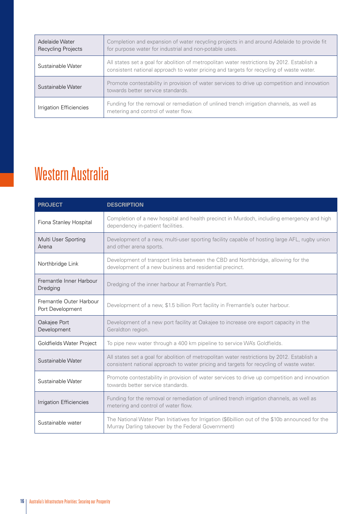| Adelaide Water<br>Recycling Projects | Completion and expansion of water recycling projects in and around Adelaide to provide fit<br>for purpose water for industrial and non-potable uses.                                   |
|--------------------------------------|----------------------------------------------------------------------------------------------------------------------------------------------------------------------------------------|
| Sustainable Water                    | All states set a goal for abolition of metropolitan water restrictions by 2012. Establish a<br>consistent national approach to water pricing and targets for recycling of waste water. |
| Sustainable Water                    | Promote contestability in provision of water services to drive up competition and innovation<br>towards better service standards.                                                      |
| Irrigation Efficiencies              | Funding for the removal or remediation of unlined trench irrigation channels, as well as<br>metering and control of water flow.                                                        |

### Western Australia

| <b>PROJECT</b>                              | <b>DESCRIPTION</b>                                                                                                                                                                     |
|---------------------------------------------|----------------------------------------------------------------------------------------------------------------------------------------------------------------------------------------|
| Fiona Stanley Hospital                      | Completion of a new hospital and health precinct in Murdoch, including emergency and high<br>dependency in-patient facilities.                                                         |
| Multi User Sporting<br>Arena                | Development of a new, multi-user sporting facility capable of hosting large AFL, rugby union<br>and other arena sports.                                                                |
| Northbridge Link                            | Development of transport links between the CBD and Northbridge, allowing for the<br>development of a new business and residential precinct.                                            |
| Fremantle Inner Harbour<br>Dredging         | Dredging of the inner harbour at Fremantle's Port.                                                                                                                                     |
| Fremantle Outer Harbour<br>Port Development | Development of a new, \$1.5 billion Port facility in Fremantle's outer harbour.                                                                                                        |
| Oakajee Port<br>Development                 | Development of a new port facility at Oakajee to increase ore export capacity in the<br>Geraldton region.                                                                              |
| Goldfields Water Project                    | To pipe new water through a 400 km pipeline to service WA's Goldfields.                                                                                                                |
| Sustainable Water                           | All states set a goal for abolition of metropolitan water restrictions by 2012. Establish a<br>consistent national approach to water pricing and targets for recycling of waste water. |
| Sustainable Water                           | Promote contestability in provision of water services to drive up competition and innovation<br>towards better service standards.                                                      |
| Irrigation Efficiencies                     | Funding for the removal or remediation of unlined trench irrigation channels, as well as<br>metering and control of water flow.                                                        |
| Sustainable water                           | The National Water Plan Initiatives for Irrigation (\$6billion out of the \$10b announced for the<br>Murray Darling takeover by the Federal Government)                                |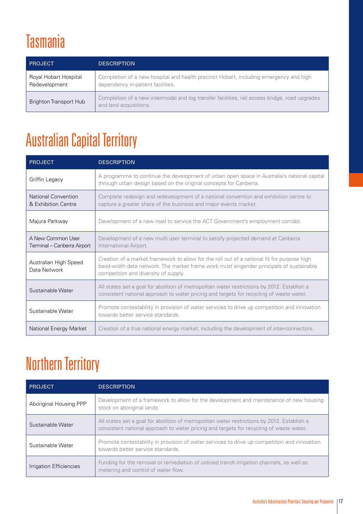## **Tasmania**

| <b>PROJECT</b>                         | <b>DESCRIPTION</b>                                                                                                         |
|----------------------------------------|----------------------------------------------------------------------------------------------------------------------------|
| Royal Hobart Hospital<br>Redevelopment | Completion of a new hospital and health precinct Hobart, including emergency and high<br>dependency in-patient facilities. |
| <b>Brighton Transport Hub</b>          | Completion of a new intermodal and log transfer facilities, rail access bridge, road upgrades<br>and land acquisitions.    |

## Australian Capital Territory

| <b>PROJECT</b>                                   | <b>DESCRIPTION</b>                                                                                                                                                                                                            |  |
|--------------------------------------------------|-------------------------------------------------------------------------------------------------------------------------------------------------------------------------------------------------------------------------------|--|
| Griffin Legacy                                   | A programme to continue the development of urban open space in Australia's national capital<br>through urban design based on the original concepts for Canberra.                                                              |  |
| National Convention<br>& Exhibition Centre       | Complete redesign and redevelopment of a national convention and exhibition centre to<br>capture a greater share of the business and major events market.                                                                     |  |
| Majura Parkway                                   | Development of a new road to service the ACT Government's employment corridor.                                                                                                                                                |  |
| A New Common User<br>Terminal – Canberra Airport | Development of a new multi user terminal to satisfy projected demand at Canberra<br>International Airport.                                                                                                                    |  |
| Australian High Speed<br>Data Network            | Creation of a market framework to allow for the roll out of a national fit for purpose high<br>band-width data network. The market frame work must engender principals of sustainable<br>competition and diversity of supply. |  |
| Sustainable Water                                | All states set a goal for abolition of metropolitan water restrictions by 2012. Establish a<br>consistent national approach to water pricing and targets for recycling of waste water.                                        |  |
| Sustainable Water                                | Promote contestability in provision of water services to drive up competition and innovation<br>towards better service standards.                                                                                             |  |
| National Energy Market                           | Creation of a true national energy market, including the development of inter-connectors.                                                                                                                                     |  |

## Northern Territory

| <b>PROJECT</b>          | <b>DESCRIPTION</b>                                                                                                                                                                     |  |
|-------------------------|----------------------------------------------------------------------------------------------------------------------------------------------------------------------------------------|--|
| Aboriginal Housing PPP  | Development of a framework to allow for the development and maintenance of new housing<br>stock on aboriginal lands.                                                                   |  |
| Sustainable Water       | All states set a goal for abolition of metropolitan water restrictions by 2012. Establish a<br>consistent national approach to water pricing and targets for recycling of waste water. |  |
| Sustainable Water       | Promote contestability in provision of water services to drive up competition and innovation<br>towards better service standards.                                                      |  |
| Irrigation Efficiencies | Funding for the removal or remediation of unlined trench irrigation channels, as well as<br>metering and control of water flow.                                                        |  |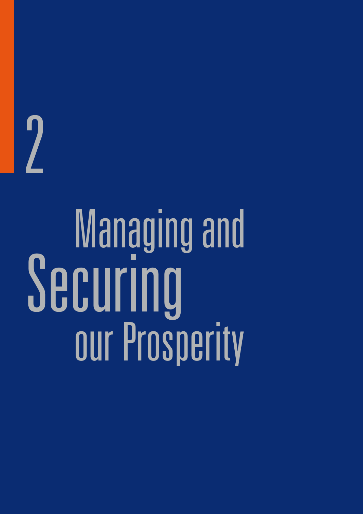

## Managing and our Prosperity Securing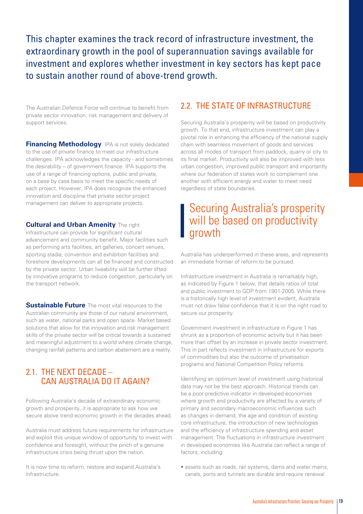This chapter examines the track record of infrastructure investment, the extraordinary growth in the pool of superannuation savings available for investment and explores whether investment in key sectors has kept pace to sustain another round of above-trend growth.

The Australian Defence Force will continue to benefit from private sector innovation, risk management and delivery of support services.

**Financing Methodology** IPA is not solely dedicated to the use of private finance to meet our infrastructure challenges. IPA acknowledges the capacity - and sometimes the desirability – of government finance. IPA supports the use of a range of financing options, public and private, on a base by case basis to meet the specific needs of each project. However, IPA does recognise the enhanced innovation and discipline that private sector project management can deliver to appropriate projects.

**Cultural and Urban Amenity** The right infrastructure can provide for significant cultural advancement and community benefit. Major facilities such as performing arts facilities, art galleries, concert venues, sporting stadia, convention and exhibition facilities and

foreshore developments can all be financed and constructed by the private sector. Urban liveability will be further lifted by innovative programs to reduce congestion, particularly on the transport network.

**Sustainable Future** The most vital resources to the Australian community are those of our natural environment, such as water, national parks and open space. Market based solutions that allow for the innovation and risk management skills of the private sector will be critical towards a sustained and meaningful adjustment to a world where climate change, changing rainfall patterns and carbon abatement are a reality.

#### 2.1. THE NEXT DECADE – Can Australia Do It Again?

Following Australia's decade of extraordinary economic growth and prosperity, it is appropriate to ask how we secure above trend economic growth in the decades ahead.

Australia must address future requirements for infrastructure and exploit this unique window of opportunity to invest with confidence and foresight, without the pinch of a genuine infrastructure crisis being thrust upon the nation.

It is now time to reform, restore and expand Australia's infrastructure.

#### 2.2. THE STATE OF INFRASTRUCTURE

Securing Australia's prosperity will be based on productivity growth. To that end, infrastructure investment can play a pivotal role in enhancing the efficiency of the national supply chain with seamless movement of goods and services across all modes of transport from paddock, quarry or city to its final market. Productivity will also be improved with less urban congestion, improved public transport and importantly where our federation of states work to complement one another with efficient energy and water to meet need regardless of state boundaries.

#### Securing Australia's prosperity will be based on productivity growth

Australia has underperformed in these areas, and represents an immediate frontier of reform to be pursued.

Infrastructure investment in Australia is remarkably high, as indicated by Figure 1 below, that details ratios of total and public investment to GDP from 1901-2005. While there is a historically high level of investment evident, Australia must not draw false confidence that it is on the right road to secure our prosperity.

Government investment in infrastructure in Figure 1 has shrunk as a proportion of economic activity but it has been more than offset by an increase in private sector investment. This in part reflects investment in infrastructure for exports of commodities but also the outcome of privatisation programs and National Competition Policy reforms.

Identifying an optimum level of investment using historical data may not be the best approach. Historical trends can be a poor predictive indicator in developed economies where growth and productivity are affected by a variety of primary and secondary macroeconomic influences such as changes in demand, the age and condition of existing core infrastructure, the introduction of new technologies and the efficiency of infrastructure spending and asset management. The fluctuations in infrastructure investment in developed economies like Australia can reflect a range of factors, including:

• assets such as roads, rail systems, dams and water mains, canals, ports and tunnels are durable and require renewal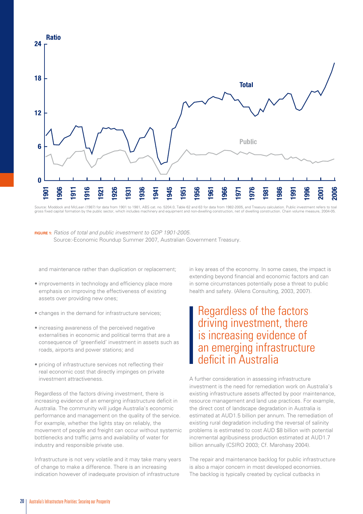

Source: Moddock and McLean (1987) for data from 1901 to 1981, ABS cat. no. 5204.0, Table 62 and 63 for data from 1982-2005, and Treasury calculation. Public investment refers to toal gross fixed capital formation by the public sector, which includes machinery and equipment and non-dwelling construction, net of dwelling construction. Chain volume measure, 2004-05.

#### **Figure 1:** *Ratios of total and public investment to GDP 1901-2005.* Source:-Economic Roundup Summer 2007, Australian Government Treasury.

and maintenance rather than duplication or replacement;

- improvements in technology and efficiency place more emphasis on improving the effectiveness of existing assets over providing new ones;
- changes in the demand for infrastructure services;
- increasing awareness of the perceived negative externalities in economic and political terms that are a consequence of 'greenfield' investment in assets such as roads, airports and power stations; and
- pricing of infrastructure services not reflecting their real economic cost that directly impinges on private investment attractiveness.

Regardless of the factors driving investment, there is increasing evidence of an emerging infrastructure deficit in Australia. The community will judge Australia's economic performance and management on the quality of the service. For example, whether the lights stay on reliably, the movement of people and freight can occur without systemic bottlenecks and traffic jams and availability of water for industry and responsible private use.

Infrastructure is not very volatile and it may take many years of change to make a difference. There is an increasing indication however of inadequate provision of infrastructure

in key areas of the economy. In some cases, the impact is extending beyond financial and economic factors and can in some circumstances potentially pose a threat to public health and safety. (Allens Consulting, 2003, 2007).

#### Regardless of the factors driving investment, there is increasing evidence of an emerging infrastructure deficit in Australia

A further consideration in assessing infrastructure investment is the need for remediation work on Australia's existing infrastructure assets affected by poor maintenance, resource management and land use practices. For example, the direct cost of landscape degradation in Australia is estimated at AUD1.5 billion per annum. The remediation of existing rural degradation including the reversal of salinity problems is estimated to cost AUD \$8 billion with potential incremental agribusiness production estimated at AUD1.7 billion annually (CSIRO 2003; Cf. Marohasy 2004).

The repair and maintenance backlog for public infrastructure is also a major concern in most developed economies. The backlog is typically created by cyclical cutbacks in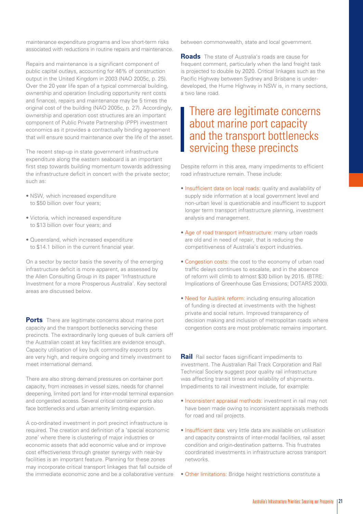maintenance expenditure programs and low short-term risks associated with reductions in routine repairs and maintenance.

Repairs and maintenance is a significant component of public capital outlays, accounting for 46% of construction output in the United Kingdom in 2003 (NAO 2005c, p. 25). Over the 20 year life span of a typical commercial building, ownership and operation (including opportunity rent costs and finance), repairs and maintenance may be 5 times the original cost of the building (NAO 2005c, p. 27). Accordingly, ownership and operation cost structures are an important component of Public Private Partnership (PPP) investment economics as it provides a contractually binding agreement that will ensure sound maintenance over the life of the asset.

The recent step-up in state government infrastructure expenditure along the eastern seaboard is an important first step towards building momentum towards addressing the infrastructure deficit in concert with the private sector; such as:

- NSW, which increased expenditure to \$50 billion over four years;
- Victoria, which increased expenditure to \$13 billion over four years; and
- Queensland, which increased expenditure to \$14.1 billion in the current financial year.

On a sector by sector basis the severity of the emerging infrastructure deficit is more apparent, as assessed by the Allen Consulting Group in its paper 'Infrastructure Investment for a more Prosperous Australia'. Key sectoral areas are discussed below.

**Ports** There are legitimate concerns about marine port capacity and the transport bottlenecks servicing these precincts. The extraordinarily long queues of bulk carriers off the Australian coast at key facilities are evidence enough. Capacity utilisation of key bulk commodity exports ports are very high, and require ongoing and timely investment to meet international demand.

There are also strong demand pressures on container port capacity, from increases in vessel sizes, needs for channel deepening, limited port land for inter-modal terminal expansion and congested access. Several critical container ports also face bottlenecks and urban amenity limiting expansion.

A co-ordinated investment in port precinct infrastructure is required. The creation and definition of a 'special economic zone' where there is clustering of major industries or economic assets that add economic value and or improve cost effectiveness through greater synergy with near-by facilities is an important feature. Planning for these zones may incorporate critical transport linkages that fall outside of the immediate economic zone and be a collaborative venture between commonwealth, state and local government.

**Roads** The state of Australia's roads are cause for frequent comment, particularly when the land freight task is projected to double by 2020. Critical linkages such as the Pacific Highway between Sydney and Brisbane is underdeveloped, the Hume Highway in NSW is, in many sections, a two lane road.

#### There are legitimate concerns about marine port capacity and the transport bottlenecks servicing these precincts

Despite reform in this area, many impediments to efficient road infrastructure remain. These include:

- Insufficient data on local roads: quality and availability of supply side information at a local government level and non-urban level is questionable and insufficient to support longer term transport infrastructure planning, investment analysis and management.
- Age of road transport infrastructure: many urban roads are old and in need of repair, that is reducing the competitiveness of Australia's export industries.
- Congestion costs: the cost to the economy of urban road traffic delays continues to escalate, and in the absence of reform will climb to almost \$30 billion by 2015. (BTRE: Implications of Greenhouse Gas Emissions; DOTARS 2000).
- Need for Auslink reform: including ensuring allocation of funding is directed at investments with the highest private and social return. Improved transparency of decision making and inclusion of metropolitan roads where congestion costs are most problematic remains important.

**Rail** Rail sector faces significant impediments to investment. The Australian Rail Track Corporation and Rail Technical Society suggest poor quality rail infrastructure was affecting transit times and reliability of shipments. Impediments to rail investment include, for example:

- Inconsistent appraisal methods: investment in rail may not have been made owing to inconsistent appraisals methods for road and rail projects.
- Insufficient data: very little data are available on utilisation and capacity constraints of inter-modal facilities, rail asset condition and origin-destination patterns. This frustrates coordinated investments in infrastructure across transport networks.
- Other limitations: Bridge height restrictions constitute a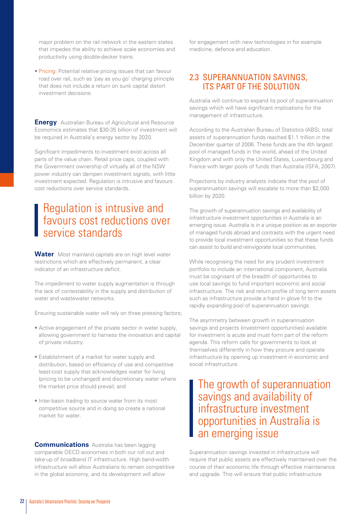major problem on the rail network in the eastern states that impedes the ability to achieve scale economies and productivity using double-decker trains.

• Pricing: Potential relative pricing issues that can favour road over rail, such as 'pay as you go' charging principle that does not include a return on sunk capital distort investment decisions.

**Energy** Australian Bureau of Agricultural and Resource Economics estimates that \$30-35 billion of investment will be required in Australia's energy sector by 2020.

Significant impediments to investment exist across all parts of the value chain. Retail price caps, coupled with the Government ownership of virtually all of the NSW power industry can dampen investment signals, with little investment expected. Regulation is intrusive and favours cost reductions over service standards.

#### Regulation is intrusive and favours cost reductions over service standards

**Water** Most mainland capitals are on high level water restrictions which are effectively permanent, a clear indicator of an infrastructure deficit.

The impediment to water supply augmentation is through the lack of contestability in the supply and distribution of water and wastewater networks.

Ensuring sustainable water will rely on three pressing factors;

- Active engagement of the private sector in water supply, allowing government to harness the innovation and capital of private industry.
- Establishment of a market for water supply and distribution, based on efficiency of use and competitive least-cost supply that acknowledges water for living (pricing to be unchanged) and discretionary water where the market price should prevail; and
- Inter-basin trading to source water from its most competitive source and in doing so create a national market for water.

**Communications** Australia has been lagging comparable OECD economies in both our roll out and take-up of broadband IT infrastructure. High band-width infrastructure will allow Australians to remain competitive in the global economy, and its development will allow

for engagement with new technologies in for example medicine, defence and education.

#### 2.3 Superannuation savings, its part of the solution

Australia will continue to expand its pool of superannuation savings which will have significant implications for the management of infrastructure.

According to the Australian Bureau of Statistics (ABS), total assets of superannuation funds reached \$1.1 trillion in the December quarter of 2006. These funds are the 4th largest pool of managed funds in the world, ahead of the United Kingdom and with only the United States, Luxembourg and France with larger pools of funds than Australia (ISFA, 2007).

Projections by industry analysts indicate that the pool of superannuation savings will escalate to more than \$2,000 billion by 2020.

The growth of superannuation savings and availability of infrastructure investment opportunities in Australia is an emerging issue. Australia is in a unique position as an exporter of managed funds abroad and contrasts with the urgent need to provide local investment opportunities so that these funds can assist to build and reinvigorate local communities.

While recognising the need for any prudent investment portfolio to include an international component, Australia must be cognisant of the breadth of opportunities to use local savings to fund important economic and social infrastructure. The risk and return profile of long term assets such as infrastructure provide a hand in glove fit to the rapidly expanding pool of superannuation savings.

The asymmetry between growth in superannuation savings and projects (investment opportunities) available for investment is acute and must form part of the reform agenda. This reform calls for governments to look at themselves differently in how they procure and operate infrastructure by opening up investment in economic and social infrastructure.

#### The growth of superannuation savings and availability of infrastructure investment opportunities in Australia is an emerging issue

Superannuation savings invested in infrastructure will require that public assets are effectively maintained over the course of their economic life through effective maintenance and upgrade. This will ensure that public infrastructure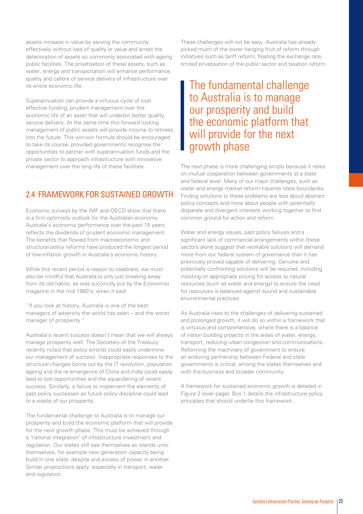assets increase in value by serving the community effectively without loss of quality or value and arrest the deterioration of assets so commonly associated with ageing public facilities. The privatisation of these assets, such as water, energy and transportation will enhance performance, quality and calibre of service delivery of infrastructure over its entire economic life.

Superannuation can provide a virtuous cycle of cost effective funding, prudent management over the economic life of an asset that will underpin better quality service delivery. At the same time this forward looking management of public assets will provide income to retirees into the future. This win-win formula should be encouraged to take its course, provided governments recognise the opportunities to partner with superannuation funds and the private sector to approach infrastructure with innovative management over the long life of these facilities.

#### 2.4 Framework for Sustained Growth

Economic surveys by the IMF and OECD show that there is a firm optimistic outlook for the Australian economy. Australia's economic performance over the past 15 years reflects the dividends of prudent economic management. The benefits that flowed from macroeconomic and structural policy reforms have produced the longest period of low-inflation growth in Australia's economic history.

While this recent period is reason to celebrate, we must also be mindful that Australia is only just breaking away from its old habits, as was succinctly put by the Economist magazine in the mid 1980's; when it said:

"If you look at history, Australia is one of the best managers of adversity the world has seen – and the worst manager of prosperity."

Australia's recent success doesn't mean that we will always manage prosperity well. The Secretary of the Treasury recently noted that policy error(s) could easily undermine our management of success. Inappropriate responses to the structural changes borne out by the IT revolution, population ageing and the re-emergence of China and India could easily lead to lost opportunities and the squandering of recent success. Similarly, a failure to implement the elements of past policy successes as future policy discipline could lead to a waste of our prosperity.

The fundamental challenge to Australia is to manage our prosperity and build the economic platform that will provide for the next growth phase. This must be achieved through a 'national integration' of infrastructure investment and regulation. Our states still see themselves as islands unto themselves, for example new generation capacity being build in one state, despite and excess of power in another. Similar propositions apply, especially in transport, water and regulation.

These challenges will not be easy. Australia has already picked much of the lower hanging fruit of reform through initiatives such as tariff reform, floating the exchange rate, limited privatisation of the public sector and taxation reform.

#### The fundamental challenge to Australia is to manage our prosperity and build the economic platform that will provide for the next growth phase

The next phase is more challenging simply because it relies on mutual cooperation between governments at a state and federal level. Many of our major challenges, such as water and energy market reform traverse state boundaries. Finding solutions to these problems are less about abstract policy concepts and more about people with potentially disparate and divergent interests working together to find common ground for action and reform.

Water and energy issues, past policy failures and a significant lack of commercial arrangements within these sectors alone suggest that workable solutions will demand more from our federal system of governance than it has previously proved capable of delivering. Genuine and potentially confronting solutions will be required, including insisting on appropriate pricing for access to natural resources (such as water and energy) to ensure the need for resources is balanced against sound and sustainable environmental practices.

As Australia rises to the challenges of delivering sustained and prolonged growth, it will do so within a framework that is virtuous and comprehensive, where there is a balance of nation building projects in the areas of water, energy, transport, reducing urban congestion and communications. Reforming the machinery of government to ensure an enduring partnership between Federal and state governments is critical, among the states themselves and with the business and broader community.

A framework for sustained economic growth is detailed in Figure 2 (over page). Box 1 details the infrastructure policy principles that should underlie this framework.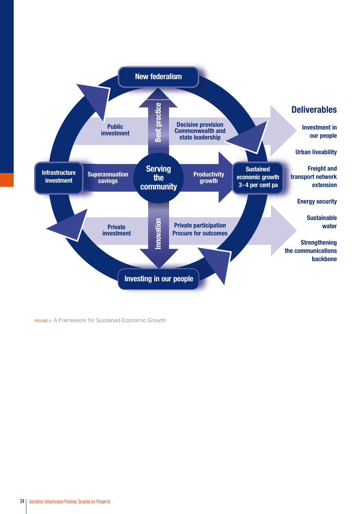

**Figure 2:** A Framework for Sustained Economic Growth.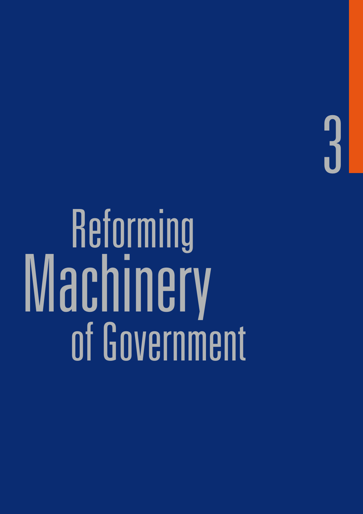5

Reforming of Government Machinery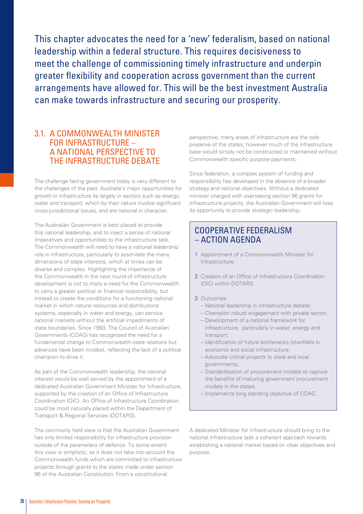This chapter advocates the need for a 'new' federalism, based on national leadership within a federal structure. This requires decisiveness to meet the challenge of commissioning timely infrastructure and underpin greater flexibility and cooperation across government than the current arrangements have allowed for. This will be the best investment Australia can make towards infrastructure and securing our prosperity.

#### 3.1. A Commonwealth Minister for Infrastructure – A National Perspective to THE INFRASTRUCTURE DEBATE

The challenge facing government today is very different to the challenges of the past. Australia's major opportunities for growth in infrastructure lie largely in sectors such as energy, water and transport, which by their nature involve significant cross-jurisdictional issues, and are national in character.

The Australian Government is best placed to provide this national leadership, and to inject a sense of national imperatives and opportunities to the infrastructure task. The Commonwealth will need to have a national leadership role in infrastructure, particularly to assimilate the many dimensions of state interests, which at times can be diverse and complex. Highlighting the importance of the Commonwealth in the next round of infrastructure development is not to imply a need for the Commonwealth to carry a greater political or financial responsibility, but instead to create the conditions for a functioning national market in which natural resources and distributions systems, especially in water and energy, can service national markets without the artificial impediments of state boundaries. Since 1993, The Council of Australian Governments (COAG) has recognised the need for a fundamental change to Commonwealth-state relations but advances have been modest, reflecting the lack of a political champion to drive it.

As part of the Commonwealth leadership, the national interest would be well served by the appointment of a dedicated Australian Government Minister for Infrastructure, supported by the creation of an Office of Infrastructure Coordination (OIC). An Office of Infrastructure Coordination could be most naturally placed within the Department of Transport & Regional Services (DOTARS).

The commonly held view is that the Australian Government has only limited responsibility for infrastructure provision outside of the parameters of defence. To some extent this view is simplistic, as it does not take into account the Commonwealth funds which are committed to infrastructure projects through grants to the states made under section 96 of the Australian Constitution. From a constitutional

perspective, many areas of infrastructure are the sole preserve of the states, however much of the infrastructure base would simply not be constructed or maintained without Commonwealth specific purpose payments.

Since federation, a complex system of funding and responsibility has developed in the absence of a broader strategy and national objectives. Without a dedicated minister charged with overseeing section 96 grants for infrastructure projects, the Australian Government will lose its opportunity to provide strategic leadership.

#### Cooperative Federalism – Action Agenda

- 1 Appointment of a Commonwealth Minister for Infrastructure.
- 2 Creation of an Office of Infrastructure Coordination (OIC) within DOTARS.
- 3 Outcomes
	- National leadership in infrastructure debate;
	- Champion robust engagement with private sector;
	- Development of a national framework for infrastructure, particularly in water, energy and transport;
	- Identification of future bottlenecks /shortfalls in economic and social infrastructure;
	- Advocate critical projects to state and local governments;
	- Standardisation of procurement models to capture the benefits of maturing government procurement models in the states.
	- Implements long standing objective of COAG.

A dedicated Minister for Infrastructure should bring to the national infrastructure task a coherent approach towards establishing a national market based on clear objectives and purpose.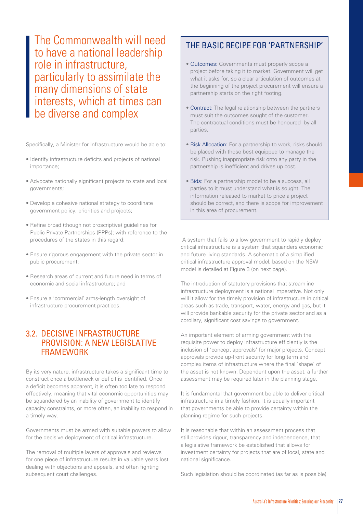The Commonwealth will need to have a national leadership role in infrastructure, particularly to assimilate the many dimensions of state interests, which at times can be diverse and complex

Specifically, a Minister for Infrastructure would be able to:

- Identify infrastructure deficits and projects of national importance;
- Advocate nationally significant projects to state and local governments;
- Develop a cohesive national strategy to coordinate government policy, priorities and projects;
- Refine broad (though not proscriptive) guidelines for Public Private Partnerships (PPPs); with reference to the procedures of the states in this regard;
- Ensure rigorous engagement with the private sector in public procurement;
- Research areas of current and future need in terms of economic and social infrastructure; and
- Ensure a 'commercial' arms-length oversight of infrastructure procurement practices.

#### 3.2. Decisive Infrastructure Provision: A New Legislative **FRAMEWORK**

By its very nature, infrastructure takes a significant time to construct once a bottleneck or deficit is identified. Once a deficit becomes apparent, it is often too late to respond effectively, meaning that vital economic opportunities may be squandered by an inability of government to identify capacity constraints, or more often, an inability to respond in a timely way.

Governments must be armed with suitable powers to allow for the decisive deployment of critical infrastructure.

The removal of multiple layers of approvals and reviews for one piece of infrastructure results in valuable years lost dealing with objections and appeals, and often fighting subsequent court challenges.

#### The Basic Recipe for 'Partnership'

- Outcomes: Governments must properly scope a project before taking it to market. Government will get what it asks for, so a clear articulation of outcomes at the beginning of the project procurement will ensure a partnership starts on the right footing.
- Contract: The legal relationship between the partners must suit the outcomes sought of the customer. The contractual conditions must be honoured by all parties.
- Risk Allocation: For a partnership to work, risks should be placed with those best equipped to manage the risk. Pushing inappropriate risk onto any party in the partnership is inefficient and drives up cost.
- Bids: For a partnership model to be a success, all parties to it must understand what is sought. The information released to market to price a project should be correct, and there is scope for improvement in this area of procurement.

 A system that fails to allow government to rapidly deploy critical infrastructure is a system that squanders economic and future living standards. A schematic of a simplified critical infrastructure approval model, based on the NSW model is detailed at Figure 3 (on next page).

The introduction of statutory provisions that streamline infrastructure deployment is a national imperative. Not only will it allow for the timely provision of infrastructure in critical areas such as trade, transport, water, energy and gas, but it will provide bankable security for the private sector and as a corollary, significant cost savings to government.

An important element of arming government with the requisite power to deploy infrastructure efficiently is the inclusion of 'concept approvals' for major projects. Concept approvals provide up-front security for long term and complex items of infrastructure where the final 'shape' of the asset is not known. Dependent upon the asset, a further assessment may be required later in the planning stage.

It is fundamental that government be able to deliver critical infrastructure in a timely fashion. It is equally important that governments be able to provide certainty within the planning regime for such projects.

It is reasonable that within an assessment process that still provides rigour, transparency and independence, that a legislative framework be established that allows for investment certainty for projects that are of local, state and national significance.

Such legislation should be coordinated (as far as is possible)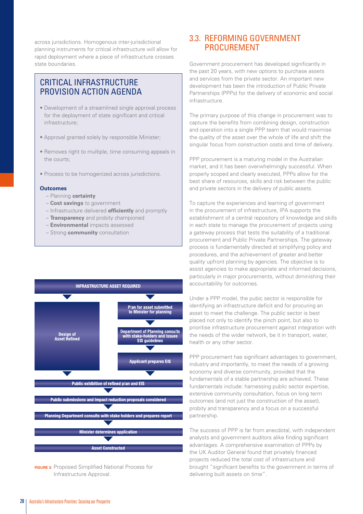across jurisdictions. Homogenous inter-jurisdictional planning instruments for critical infrastructure will allow for rapid deployment where a piece of infrastructure crosses state boundaries.

#### CRITICAL INFRASTRUCTURE Provision Action Agenda

- Development of a streamlined single approval process for the deployment of state significant and critical infrastructure;
- Approval granted solely by responsible Minister;
- Removes right to multiple, time consuming appeals in the courts;
- Process to be homogenized across jurisdictions.

#### **Outcomes**

- Planning **certainty**
- **Cost savings** to government
- Infrastructure delivered **efficiently** and promptly
- **Transparency** and probity championed
- **Environmental** impacts assessed
- Strong **community** consultation



**Figure 3:** Proposed Simplified National Process for Infrastructure Approval.

#### 3.3. Reforming Government **PROCUREMENT**

Government procurement has developed significantly in the past 20 years, with new options to purchase assets and services from the private sector. An important new development has been the introduction of Public Private Partnerships (PPPs) for the delivery of economic and social infrastructure.

The primary purpose of this change in procurement was to capture the benefits from combining design, construction and operation into a single PPP team that would maximise the quality of the asset over the whole of life and shift the singular focus from construction costs and time of delivery.

PPP procurement is a maturing model in the Australian market, and it has been overwhelmingly successful. When properly scoped and clearly executed, PPPs allow for the best share of resources, skills and risk between the public and private sectors in the delivery of public assets.

To capture the experiences and learning of government in the procurement of infrastructure, IPA supports the establishment of a central repository of knowledge and skills in each state to manage the procurement of projects using a gateway process that tests the suitability of a traditional procurement and Public Private Partnerships. The gateway process is fundamentally directed at simplifying policy and procedures, and the achievement of greater and better quality upfront planning by agencies. The objective is to assist agencies to make appropriate and informed decisions, particularly in major procurements, without diminishing their accountability for outcomes.

Under a PPP model, the pubic sector is responsible for identifying an infrastructure deficit and for procuring an asset to meet the challenge. The public sector is best placed not only to identify the pinch point, but also to prioritise infrastructure procurement against integration with the needs of the wider network, be it in transport, water, health or any other sector.

PPP procurement has significant advantages to government, industry and importantly, to meet the needs of a growing economy and diverse community, provided that the fundamentals of a stable partnership are achieved. These fundamentals include: harnessing public sector expertise, extensive community consultation, focus on long term outcomes (and not just the construction of the asset), probity and transparency and a focus on a successful partnership.

The success of PPP is far from anecdotal, with independent analysts and government auditors alike finding significant advantages. A comprehensive examination of PPPs by the UK Auditor General found that privately financed projects reduced the total cost of infrastructure and brought "significant benefits to the government in terms of delivering built assets on time".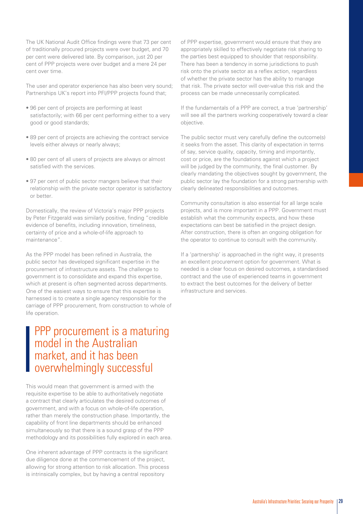The UK National Audit Office findings were that 73 per cent of traditionally procured projects were over budget, and 70 per cent were delivered late. By comparison, just 20 per cent of PPP projects were over budget and a mere 24 per cent over time.

The user and operator experience has also been very sound; Partnerships UK's report into PFI/PPP projects found that;

- 96 per cent of projects are performing at least satisfactorily; with 66 per cent performing either to a very good or good standards;
- 89 per cent of projects are achieving the contract service levels either always or nearly always;
- 80 per cent of all users of projects are always or almost satisfied with the services.
- 97 per cent of public sector mangers believe that their relationship with the private sector operator is satisfactory or better.

Domestically, the review of Victoria's major PPP projects by Peter Fitzgerald was similarly positive, finding "credible evidence of benefits, including innovation, timeliness, certainty of price and a whole-of-life approach to maintenance".

As the PPP model has been refined in Australia, the public sector has developed significant expertise in the procurement of infrastructure assets. The challenge to government is to consolidate and expand this expertise, which at present is often segmented across departments. One of the easiest ways to ensure that this expertise is harnessed is to create a single agency responsible for the carriage of PPP procurement, from construction to whole of life operation.

#### PPP procurement is a maturing model in the Australian market, and it has been overwhelmingly successful

This would mean that government is armed with the requisite expertise to be able to authoritatively negotiate a contract that clearly articulates the desired outcomes of government, and with a focus on whole-of-life operation, rather than merely the construction phase. Importantly, the capability of front line departments should be enhanced simultaneously so that there is a sound grasp of the PPP methodology and its possibilities fully explored in each area.

One inherent advantage of PPP contracts is the significant due diligence done at the commencement of the project, allowing for strong attention to risk allocation. This process is intrinsically complex, but by having a central repository

of PPP expertise, government would ensure that they are appropriately skilled to effectively negotiate risk sharing to the parties best equipped to shoulder that responsibility. There has been a tendency in some jurisdictions to push risk onto the private sector as a reflex action, regardless of whether the private sector has the ability to manage that risk. The private sector will over-value this risk and the process can be made unnecessarily complicated.

If the fundamentals of a PPP are correct, a true 'partnership' will see all the partners working cooperatively toward a clear objective.

The public sector must very carefully define the outcome(s) it seeks from the asset. This clarity of expectation in terms of say, service quality, capacity, timing and importantly, cost or price, are the foundations against which a project will be judged by the community, the final customer. By clearly mandating the objectives sought by government, the public sector lay the foundation for a strong partnership with clearly delineated responsibilities and outcomes.

Community consultation is also essential for all large scale projects, and is more important in a PPP. Government must establish what the community expects, and how these expectations can best be satisfied in the project design. After construction, there is often an ongoing obligation for the operator to continue to consult with the community.

If a 'partnership' is approached in the right way, it presents an excellent procurement option for government. What is needed is a clear focus on desired outcomes, a standardised contract and the use of experienced teams in government to extract the best outcomes for the delivery of better infrastructure and services.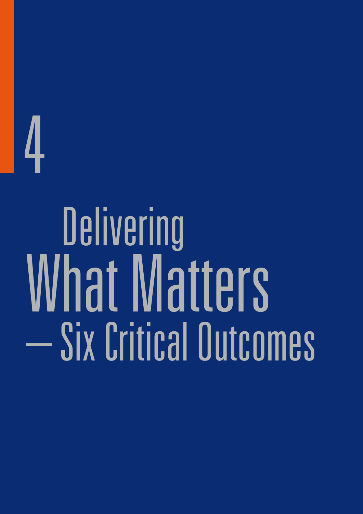

## Delivering – Six Critical Outcomes What Matters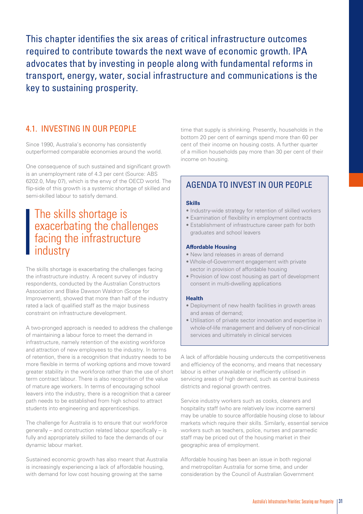This chapter identifies the six areas of critical infrastructure outcomes required to contribute towards the next wave of economic growth. IPA advocates that by investing in people along with fundamental reforms in transport, energy, water, social infrastructure and communications is the key to sustaining prosperity.

#### 4.1. Investing in our People

Since 1990, Australia's economy has consistently outperformed comparable economies around the world.

One consequence of such sustained and significant growth is an unemployment rate of 4.3 per cent (Source: ABS 6202.0, May 07), which is the envy of the OECD world. The flip-side of this growth is a systemic shortage of skilled and semi-skilled labour to satisfy demand.

#### The skills shortage is exacerbating the challenges facing the infrastructure industry

The skills shortage is exacerbating the challenges facing the infrastructure industry. A recent survey of industry respondents, conducted by the Australian Constructors Association and Blake Dawson Waldron (Scope for Improvement), showed that more than half of the industry rated a lack of qualified staff as the major business constraint on infrastructure development.

A two-pronged approach is needed to address the challenge of maintaining a labour force to meet the demand in infrastructure, namely retention of the existing workforce and attraction of new employees to the industry. In terms of retention, there is a recognition that industry needs to be more flexible in terms of working options and move toward greater stability in the workforce rather than the use of short term contract labour. There is also recognition of the value of mature age workers. In terms of encouraging school leavers into the industry, there is a recognition that a career path needs to be established from high school to attract students into engineering and apprenticeships.

The challenge for Australia is to ensure that our workforce generally – and construction related labour specifically – is fully and appropriately skilled to face the demands of our dynamic labour market.

Sustained economic growth has also meant that Australia is increasingly experiencing a lack of affordable housing, with demand for low cost housing growing at the same

time that supply is shrinking. Presently, households in the bottom 20 per cent of earnings spend more than 60 per cent of their income on housing costs. A further quarter of a million households pay more than 30 per cent of their income on housing.

#### Agenda to Invest in our People

#### **Skills**

- Industry-wide strategy for retention of skilled workers
- Examination of flexibility in employment contracts
- Establishment of infrastructure career path for both graduates and school leavers

#### **Affordable Housing**

- New land releases in areas of demand
- Whole-of-Government engagement with private sector in provision of affordable housing
- Provision of low cost housing as part of development consent in multi-dwelling applications

#### **Health**

- Deployment of new health facilities in growth areas and areas of demand;
- Utilisation of private sector innovation and expertise in whole-of-life management and delivery of non-clinical services and ultimately in clinical services

A lack of affordable housing undercuts the competitiveness and efficiency of the economy, and means that necessary labour is either unavailable or inefficiently utilised in servicing areas of high demand, such as central business districts and regional growth centres.

Service industry workers such as cooks, cleaners and hospitality staff (who are relatively low income earners) may be unable to source affordable housing close to labour markets which require their skills. Similarly, essential service workers such as teachers, police, nurses and paramedic staff may be priced out of the housing market in their geographic area of employment.

Affordable housing has been an issue in both regional and metropolitan Australia for some time, and under consideration by the Council of Australian Government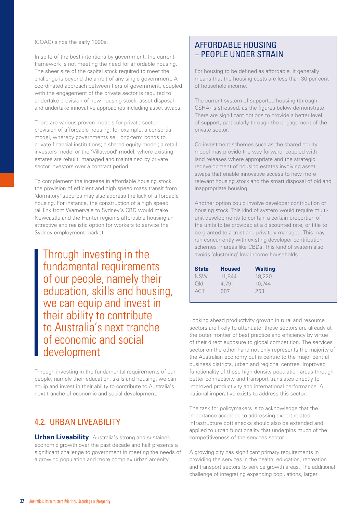(COAG) since the early 1990s.

In spite of the best intentions by government, the current framework is not meeting the need for affordable housing. The sheer size of the capital stock required to meet the challenge is beyond the ambit of any single government. A coordinated approach between tiers of government, coupled with the engagement of the private sector is required to undertake provision of new housing stock, asset disposal and undertake innovative approaches including asset swaps.

There are various proven models for private sector provision of affordable housing, for example: a consortia model, whereby governments sell long-term bonds to private financial institutions; a shared equity model; a retail investors model or the 'Villawood' model, where existing estates are rebuilt, managed and maintained by private sector investors over a contract period.

To complement the increase in affordable housing stock, the provision of efficient and high speed mass transit from 'dormitory' suburbs may also address the lack of affordable housing. For instance, the construction of a high speed rail link from Warnervale to Sydney's CBD would make Newcastle and the Hunter region's affordable housing an attractive and realistic option for workers to service the Sydney employment market.

Through investing in the fundamental requirements of our people, namely their education, skills and housing, we can equip and invest in their ability to contribute to Australia's next tranche of economic and social development

Through investing in the fundamental requirements of our people, namely their education, skills and housing, we can equip and invest in their ability to contribute to Australia's next tranche of economic and social development.

#### 4.2. URBAN LIVEABILITY

**Urban Liveability** Australia's strong and sustained economic growth over the past decade and half presents a significant challenge to government in meeting the needs of a growing population and more complex urban amenity.

#### Affordable Housing – People Under Strain

For housing to be defined as affordable, it generally means that the housing costs are less than 30 per cent of household income.

The current system of supported housing (through CSHA) is stressed, as the figures below demonstrate. There are significant options to provide a better level of support, particularly through the engagement of the private sector.

Co-investment schemes such as the shared equity model may provide the way forward, coupled with land releases where appropriate and the strategic redevelopment of housing estates involving asset swaps that enable innovative access to new more relevant housing stock and the smart disposal of old and inappropriate housing.

Another option could involve developer contribution of housing stock. This kind of system would require multiunit developments to contain a certain proportion of the units to be provided at a discounted rate, or title to be granted to a trust and privately managed. This may run concurrently with existing developer contribution schemes in areas like CBDs. This kind of system also avoids 'clustering' low income households.

| <b>State</b> | <b>Housed</b> | Waiting |
|--------------|---------------|---------|
| <b>NSW</b>   | 11.844        | 18.220  |
| Old          | 4.791         | 10.744  |
| ACT          | 687           | 253     |
|              |               |         |

Looking ahead productivity growth in rural and resource sectors are likely to attenuate, these sectors are already at the outer frontier of best practice and efficiency by virtue of their direct exposure to global competition. The services sector on the other hand not only represents the majority of the Australian economy but is centric to the major central business districts, urban and regional centres. Improved functionality of these high density population areas through better connectivity and transport translates directly to improved productivity and international performance. A national imperative exists to address this sector.

The task for policymakers is to acknowledge that the importance accorded to addressing export related infrastructure bottlenecks should also be extended and applied to urban functionality that underpins much of the competitiveness of the services sector.

A growing city has significant primary requirements in providing the services in the health, education, recreation and transport sectors to service growth areas. The additional challenge of integrating expanding populations, larger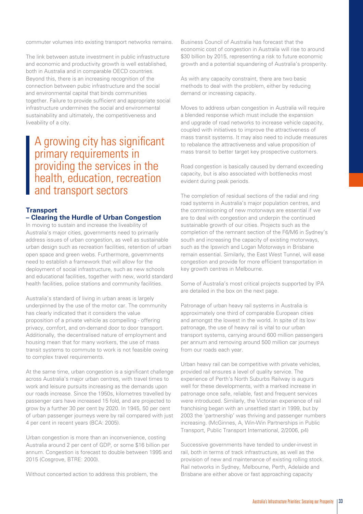commuter volumes into existing transport networks remains.

The link between astute investment in public infrastructure and economic and productivity growth is well established, both in Australia and in comparable OECD countries. Beyond this, there is an increasing recognition of the connection between pubic infrastructure and the social and environmental capital that binds communities together. Failure to provide sufficient and appropriate social infrastructure undermines the social and environmental sustainability and ultimately, the competitiveness and liveability of a city.

#### A growing city has significant primary requirements in providing the services in the health, education, recreation and transport sectors

#### **Transport**

#### **– Clearing the Hurdle of Urban Congestion**

In moving to sustain and increase the liveability of Australia's major cities, governments need to primarily address issues of urban congestion, as well as sustainable urban design such as recreation facilities, retention of urban open space and green webs. Furthermore, governments need to establish a framework that will allow for the deployment of social infrastructure, such as new schools and educational facilities, together with new, world standard health facilities, police stations and community facilities.

Australia's standard of living in urban areas is largely underpinned by the use of the motor car. The community has clearly indicated that it considers the value proposition of a private vehicle as compelling - offering privacy, comfort, and on-demand door to door transport. Additionally, the decentralised nature of employment and housing mean that for many workers, the use of mass transit systems to commute to work is not feasible owing to complex travel requirements.

At the same time, urban congestion is a significant challenge across Australia's major urban centres, with travel times to work and leisure pursuits increasing as the demands upon our roads increase. Since the 1950s, kilometres travelled by passenger cars have increased 15 fold, and are projected to grow by a further 30 per cent by 2020. In 1945, 50 per cent of urban passenger journeys were by rail compared with just 4 per cent in recent years (BCA: 2005).

Urban congestion is more than an inconvenience, costing Australia around 2 per cent of GDP, or some \$16 billion per annum. Congestion is forecast to double between 1995 and 2015 (Cosgrove, BTRE: 2000).

Without concerted action to address this problem, the

Business Council of Australia has forecast that the economic cost of congestion in Australia will rise to around \$30 billion by 2015, representing a risk to future economic growth and a potential squandering of Australia's prosperity.

As with any capacity constraint, there are two basic methods to deal with the problem, either by reducing demand or increasing capacity.

Moves to address urban congestion in Australia will require a blended response which must include the expansion and upgrade of road networks to increase vehicle capacity, coupled with initiatives to improve the attractiveness of mass transit systems. It may also need to include measures to rebalance the attractiveness and value proposition of mass transit to better target key prospective customers.

Road congestion is basically caused by demand exceeding capacity, but is also associated with bottlenecks most evident during peak periods.

The completion of residual sections of the radial and ring road systems in Australia's major population centres, and the commissioning of new motorways are essential if we are to deal with congestion and underpin the continued sustainable growth of our cities. Projects such as the completion of the remnant section of the F6/M6 in Sydney's south and increasing the capacity of existing motorways, such as the Ipswich and Logan Motorways in Brisbane remain essential. Similarly, the East West Tunnel, will ease congestion and provide for more efficient transportation in key growth centres in Melbourne.

Some of Australia's most critical projects supported by IPA are detailed in the box on the next page.

Patronage of urban heavy rail systems in Australia is approximately one third of comparable European cities and amongst the lowest in the world. In spite of its low patronage, the use of heavy rail is vital to our urban transport systems, carrying around 600 million passengers per annum and removing around 500 million car journeys from our roads each year.

Urban heavy rail can be competitive with private vehicles, provided rail ensures a level of quality service. The experience of Perth's North Suburbs Railway is augurs well for these developments, with a marked increase in patronage once safe, reliable, fast and frequent services were introduced. Similarly, the Victorian experience of rail franchising began with an unsettled start in 1999, but by 2003 the 'partnership' was thriving and passenger numbers increasing. (McGinnes, A, Win-Win Partnerships in Public Transport, Public Transport International, 2/2006, p4)

Successive governments have tended to under-invest in rail, both in terms of track infrastructure, as well as the provision of new and maintenance of existing rolling stock. Rail networks in Sydney, Melbourne, Perth, Adelaide and Brisbane are either above or fast approaching capacity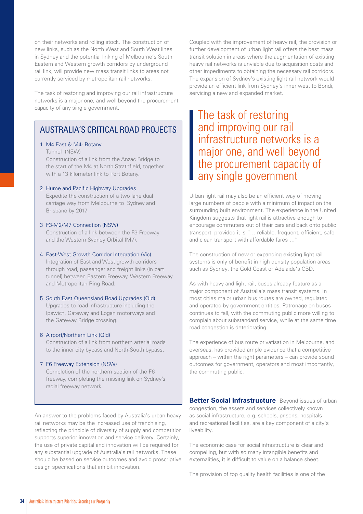on their networks and rolling stock. The construction of new links, such as the North West and South West lines in Sydney and the potential linking of Melbourne's South Eastern and Western growth corridors by underground rail link, will provide new mass transit links to areas not currently serviced by metropolitan rail networks.

The task of restoring and improving our rail infrastructure networks is a major one, and well beyond the procurement capacity of any single government.

#### Australia's Critical Road Projects

#### 1 M4 East & M4- Botany

Tunnel (NSW)

 Construction of a link from the Anzac Bridge to the start of the M4 at North Strathfield, together with a 13 kilometer link to Port Botany.

#### 2 Hume and Pacific Highway Upgrades

 Expedite the construction of a two lane dual carriage way from Melbourne to Sydney and Brisbane by 2017.

#### 3 F3-M2/M7 Connection (NSW)

 Construction of a link between the F3 Freeway and the Western Sydney Orbital (M7).

4 East-West Growth Corridor Integration (Vic) Integration of East and West growth corridors through road, passenger and freight links (in part tunnel) between Eastern Freeway, Western Freeway and Metropolitan Ring Road.

#### 5 South East Queensland Road Upgrades (Qld) Upgrades to road infrastructure including the Ipswich, Gateway and Logan motorways and the Gateway Bridge crossing.

#### 6 Airport/Northern Link (Qld)

 Construction of a link from northern arterial roads to the inner city bypass and North-South bypass.

#### 7 F6 Freeway Extension (NSW) Completion of the northern section of the F6 freeway, completing the missing link on Sydney's radial freeway network.

An answer to the problems faced by Australia's urban heavy rail networks may be the increased use of franchising, reflecting the principle of diversity of supply and competition supports superior innovation and service delivery. Certainly, the use of private capital and innovation will be required for any substantial upgrade of Australia's rail networks. These should be based on service outcomes and avoid proscriptive design specifications that inhibit innovation.

Coupled with the improvement of heavy rail, the provision or further development of urban light rail offers the best mass transit solution in areas where the augmentation of existing heavy rail networks is unviable due to acquisition costs and other impediments to obtaining the necessary rail corridors. The expansion of Sydney's existing light rail network would provide an efficient link from Sydney's inner west to Bondi, servicing a new and expanded market.

#### The task of restoring and improving our rail infrastructure networks is a major one, and well beyond the procurement capacity of any single government

Urban light rail may also be an efficient way of moving large numbers of people with a minimum of impact on the surrounding built environment. The experience in the United Kingdom suggests that light rail is attractive enough to encourage commuters out of their cars and back onto public transport, provided it is "… reliable, frequent, efficient, safe and clean transport with affordable fares …"

The construction of new or expanding existing light rail systems is only of benefit in high density population areas such as Sydney, the Gold Coast or Adelaide's CBD.

As with heavy and light rail, buses already feature as a major component of Australia's mass transit systems. In most cities major urban bus routes are owned, regulated and operated by government entities. Patronage on buses continues to fall, with the commuting public more willing to complain about substandard service, while at the same time road congestion is deteriorating.

The experience of bus route privatisation in Melbourne, and overseas, has provided ample evidence that a competitive approach – within the right parameters – can provide sound outcomes for government, operators and most importantly, the commuting public.

**Better Social Infrastructure** Beyond issues of urban congestion, the assets and services collectively known as social infrastructure, e.g. schools, prisons, hospitals and recreational facilities, are a key component of a city's liveability.

The economic case for social infrastructure is clear and compelling, but with so many intangible benefits and externalities, it is difficult to value on a balance sheet.

The provision of top quality health facilities is one of the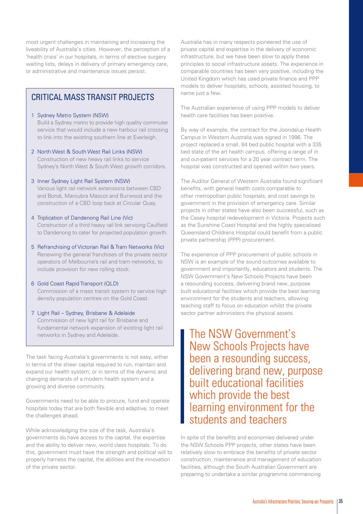most urgent challenges in maintaining and increasing the liveability of Australia's cities. However, the perception of a 'health crisis' in our hospitals, in terms of elective surgery waiting lists, delays in delivery of primary emergency care, or administrative and maintenance issues persist.

#### Critical Mass Transit Projects

#### 1 Sydney Metro System (NSW)

 Build a Sydney metro to provide high quality commuter service that would include a new harbour rail crossing to link into the existing southern line at Everleigh.

2 North West & South West Rail Links (NSW) Construction of new heavy rail links to service Sydney's North West & South West growth corridors.

#### 3 Inner Sydney Light Rail System (NSW)

 Various light rail network extensions between CBD and Bondi, Maroubra Mascot and Burwood and the construction of a CBD loop back at Circular Quay.

#### 4 Triplication of Dandenong Rail Line (Vic)

 Construction of a third heavy rail link servicing Caulfield to Dandenong to cater for projected population growth.

5 Refranchising of Victorian Rail & Tram Networks (Vic) Renewing the general franchises of the private sector operators of Melbourne's rail and tram networks, to include provision for new rolling stock.

#### 6 Gold Coast Rapid Transport (QLD)

 Commission of a mass transit system to service high density population centres on the Gold Coast.

#### 7 Light Rail – Sydney, Brisbane & Adelaide Commission of new light rail for Brisbane and fundamental network expansion of existing light rail networks in Sydney and Adelaide.

The task facing Australia's governments is not easy, either in terms of the sheer capital required to run, maintain and expand our health system; or in terms of the dynamic and changing demands of a modern health system and a growing and diverse community.

Governments need to be able to procure, fund and operate hospitals today that are both flexible and adaptive, to meet the challenges ahead.

While acknowledging the size of the task, Australia's governments do have access to the capital, the expertise and the ability to deliver new, world class hospitals. To do this, government must have the strength and political will to properly harness the capital, the abilities and the innovation of the private sector.

Australia has in many respects pioneered the use of private capital and expertise in the delivery of economic infrastructure, but we have been slow to apply these principles to social infrastructure assets. The experience in comparable countries has been very positive, including the United Kingdom which has used private finance and PPP models to deliver hospitals, schools, assisted housing, to name just a few.

The Australian experience of using PPP models to deliver health care facilities has been positive.

By way of example, the contract for the Joondalup Health Campus in Western Australia was signed in 1996. The project replaced a small, 84 bed public hospital with a 335 bed state of the art health campus, offering a range of in and out-patient services for a 20 year contract term. The hospital was constructed and opened within two years.

The Auditor General of Western Australia found significant benefits, with general health costs comparable to other metropolitan public hospitals, and cost savings to government in the provision of emergency care. Similar projects in other states have also been successful, such as the Casey hospital redevelopment in Victoria. Projects such as the Sunshine Coast Hospital and the highly specialised Queensland Childrens Hospital could benefit from a public private partnership (PPP) procurement.

The experience of PPP procurement of public schools in NSW is an example of the sound outcomes available to government and importantly, educators and students. The NSW Government's New Schools Projects have been a resounding success, delivering brand new, purpose built educational facilities which provide the best learning environment for the students and teachers, allowing teaching staff to focus on education whilst the private sector partner administers the physical assets.

The NSW Government's New Schools Projects have been a resounding success, delivering brand new, purpose built educational facilities which provide the best learning environment for the students and teachers

In spite of the benefits and economies delivered under the NSW Schools PPP projects, other states have been relatively slow to embrace the benefits of private sector construction, maintenance and management of education facilities, although the South Australian Government are preparing to undertake a similar programme commencing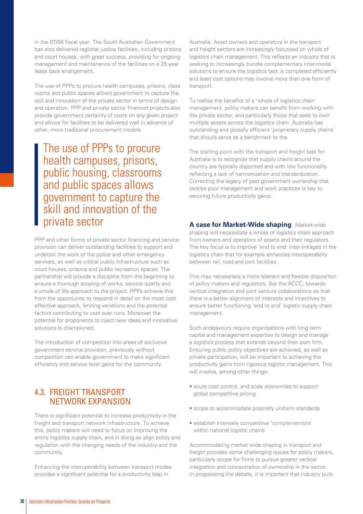in the 07/08 fiscal year. The South Australian Government has also delivered regional justice facilities, including prisons and court houses, with great success, providing for ongoing management and maintenance of the facilities on a 25 year lease back arrangement.

The use of PPPs to procure health campuses, prisons, class rooms and public spaces allows government to capture the skill and innovation of the private sector in terms of design and operation. PPP and private sector financed projects also provide government certainty of costs on any given project and allows for facilities to be delivered well in advance of other, more traditional procurement models.

The use of PPPs to procure health campuses, prisons, public housing, classrooms and public spaces allows government to capture the skill and innovation of the private sector

PPP and other forms of private sector financing and service provision can deliver outstanding facilities to support and underpin the work of the police and other emergency services, as well as critical public infrastructure such as court houses, prisons and public recreation spaces. The partnership will provide a discipline from the beginning to ensure a thorough scoping of works, service quality and a whole of life approach to the project. PPPs achieve this from the opportunity to respond in detail on the most cost effective approach, limiting variations and the potential factors contributing to cost over runs. Moreover the potential for proponents to inject new ideas and innovative solutions is championed.

The introduction of competition into areas of exclusive government service provision, previously without competition can enable government to make significant efficiency and service level gains for the community.

#### 4.3. Freight Transport Network Expansion

There is significant potential to increase productivity in the freight and transport network infrastructure. To achieve this, policy makers will need to focus on improving the entire logistics supply chain, and in doing so align policy and regulation with the changing needs of the industry and the community.

Enhancing the interoperability between transport modes provides a significant potential for a productivity leap in

Australia. Asset owners and operators in the transport and freight sectors are increasingly focussed on whole of logistics chain management. This reflects an industry that is seeking to increasingly bundle complementary inter-modal solutions to ensure the logistics task is completed efficiently and least cost options may involve more than one form of transport.

To realise the benefits of a 'whole of logistics chain' management, policy makers can benefit from working with the private sector, and particularly those that seek to own multiple assets across the logistics chain. Australia has outstanding and globally efficient 'proprietary supply chains' that should serve as a benchmark to the

The starting point with the transport and freight task for Australia is to recognize that supply chains around the country are typically disjointed and with low functionality reflecting a lack of harmonization and standardization. Correcting the legacy of past government ownership that tackles poor management and work practices is key to securing future productivity gains.

**A case for Market-Wide shaping** Market-wide shaping will necessitate a whole of logistics chain approach from owners and operators of assets and their regulators. The key focus is to improve 'end to end' inter-linkages in the logistics chain that for example enhances interoperability between rail, road and port facilities.

This may necessitate a more tolerant and flexible disposition of policy makers and regulators, like the ACCC, towards vertical integration and joint venture collaborations so that there is a better alignment of interests and incentives to ensure better functioning 'end to end' logistic supply chain management.

Such endeavours require organisations with long term capital and management expertise to design and manage a logistics process that extends beyond their own firm. Ensuring public policy objectives are achieved, as well as private participation, will be important to achieving the productivity gains from rigorous logistic management. This will involve, among other things:

- acute cost control, and scale economies to support global competitive pricing
- scope to accommodate propriety uniform standards
- establish intensely competitive 'complementors' within national logistic chains

Accommodating market wide shaping in transport and freight provides some challenging issues for policy makers. particularly scope for firms to pursue greater vertical integration and concentration of ownership in the sector. In progressing the debate, it is important that industry puts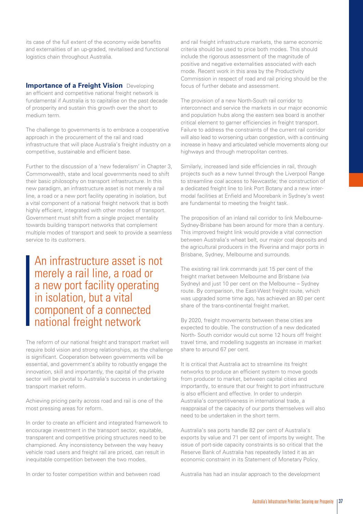its case of the full extent of the economy wide benefits and externalities of an up-graded, revitalised and functional logistics chain throughout Australia.

**Importance of a Freight Vision** Developing an efficient and competitive national freight network is fundamental if Australia is to capitalise on the past decade of prosperity and sustain this growth over the short to medium term.

The challenge to governments is to embrace a cooperative approach in the procurement of the rail and road infrastructure that will place Australia's freight industry on a competitive, sustainable and efficient base.

Further to the discussion of a 'new federalism' in Chapter 3, Commonwealth, state and local governments need to shift their basic philosophy on transport infrastructure. In this new paradigm, an infrastructure asset is not merely a rail line, a road or a new port facility operating in isolation, but a vital component of a national freight network that is both highly efficient, integrated with other modes of transport. Government must shift from a single project mentality towards building transport networks that complement multiple modes of transport and seek to provide a seamless service to its customers.

#### An infrastructure asset is not merely a rail line, a road or a new port facility operating in isolation, but a vital component of a connected national freight network

The reform of our national freight and transport market will require bold vision and strong relationships, as the challenge is significant. Cooperation between governments will be essential, and government's ability to robustly engage the innovation, skill and importantly, the capital of the private sector will be pivotal to Australia's success in undertaking transport market reform.

Achieving pricing parity across road and rail is one of the most pressing areas for reform.

In order to create an efficient and integrated framework to encourage investment in the transport sector, equitable, transparent and competitive pricing structures need to be championed. Any inconsistency between the way heavy vehicle road users and freight rail are priced, can result in inequitable competition between the two modes.

and rail freight infrastructure markets, the same economic criteria should be used to price both modes. This should include the rigorous assessment of the magnitude of positive and negative externalities associated with each mode. Recent work in this area by the Productivity Commission in respect of road and rail pricing should be the focus of further debate and assessment.

The provision of a new North-South rail corridor to interconnect and service the markets in our major economic and population hubs along the eastern sea board is another critical element to garner efficiencies in freight transport. Failure to address the constraints of the current rail corridor will also lead to worsening urban congestion, with a continuing increase in heavy and articulated vehicle movements along our highways and through metropolitan centres.

Similarly, increased land side efficiencies in rail, through projects such as a new tunnel through the Liverpool Range to streamline coal access to Newcastle; the construction of a dedicated freight line to link Port Botany and a new intermodal facilities at Enfield and Moorebank in Sydney's west are fundamental to meeting the freight task.

The proposition of an inland rail corridor to link Melbourne-Sydney-Brisbane has been around for more than a century. This improved freight link would provide a vital connection between Australia's wheat belt, our major coal deposits and the agricultural producers in the Riverina and major ports in Brisbane, Sydney, Melbourne and surrounds.

The existing rail link commands just 15 per cent of the freight market between Melbourne and Brisbane (via Sydney) and just 10 per cent on the Melbourne – Sydney route. By comparison, the East-West freight route, which was upgraded some time ago, has achieved an 80 per cent share of the trans-continental freight market.

By 2020, freight movements between these cities are expected to double. The construction of a new dedicated North- South corridor would cut some 12 hours off freight travel time, and modelling suggests an increase in market share to around 67 per cent.

It is critical that Australia act to streamline its freight networks to produce an efficient system to move goods from producer to market, between capital cities and importantly, to ensure that our freight to port infrastructure is also efficient and effective. In order to underpin Australia's competitiveness in international trade, a reappraisal of the capacity of our ports themselves will also need to be undertaken in the short term.

Australia's sea ports handle 82 per cent of Australia's exports by value and 71 per cent of imports by weight. The issue of port-side capacity constraints is so critical that the Reserve Bank of Australia has repeatedly listed it as an economic constraint in its Statement of Monetary Policy.

In order to foster competition within and between road

Australia has had an insular approach to the development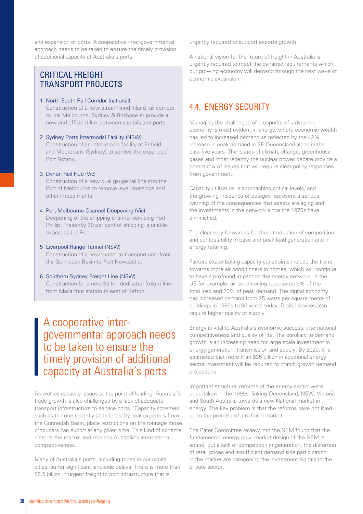and expansion of ports. A cooperative inter-governmental approach needs to be taken to ensure the timely provision of additional capacity at Australia's ports.

#### CRITICAL FREIGHT Transport Projects

#### 1 North South Rail Corridor (national)

 Construction of a new streamlined inland rail corridor to link Melbourne, Sydney & Brisbane to provide a new and efficient link between capitals and ports.

#### 2 Sydney Ports Intermodal Facility (NSW)

 Construction of an inter-modal facility at Enfield and Moorebank (Sydney) to service the expanded Port Botany.

#### 3 Dynon Rail Hub (Vic)

 Construction of a new dual gauge rail line into the Port of Melbourne to remove level crossings and other impediments.

#### 4 Port Melbourne Channel Deepening (Vic)

 Deepening of the shipping channel servicing Port Phillip. Presently 30 per cent of shipping is unable to access the Port.

#### 5 Liverpool Range Tunnel (NSW)

 Construction of a new tunnel to transport coal from the Gunnedah Basin to Port Newcastle.

#### 6 Southern Sydney Freight Line (NSW) Construction for a new 35 km dedicated freight line from Macarthur station to east of Sefton.

#### A cooperative intergovernmental approach needs to be taken to ensure the timely provision of additional capacity at Australia's ports

As well as capacity issues at the point of loading, Australia's trade growth is also challenged by a lack of adequate transport infrastructure to service ports. 'Capacity schemes' such as the one recently abandoned by coal exporters from the Gunnedah Basin, place restrictions on the tonnage those producers can export at any given time. This kind of scheme distorts the market and reduces Australia's international competitiveness.

Many of Australia's ports, including those in our capital cities, suffer significant land-side delays. There is more than \$8.5 billion in urgent freight to port infrastructure that is

urgently required to support exports growth.

A national vision for the future of freight in Australia is urgently required to meet the dynamic requirements which our growing economy will demand through the next wave of economic expansion.

#### 4.4. Energy Security

Managing the challenges of prosperity of a dynamic economy is most evident in energy, where economic wealth has led to increased demand as reflected by the 42% increase in peak demand in SE Queensland alone in the past five years. The issues of climate change, greenhouse gases and most recently the nuclear power debate provide a potent mix of issues that will require clear policy responses from government.

Capacity utilisation is approaching critical levels, and the growing incidence of outages represent a serious warning of the consequences that assets are aging and the investments in the network since the 1970s have diminished.

The clear way forward is for the introduction of competition and contestability in base and peak load generation and in energy retailing.

Factors exacerbating capacity constraints include the trend towards more air conditioners in homes, which will continue to have a profound impact on the energy network. In the US for example, air conditioning represents 5% of the total load and 20% of peak demand. The digital economy has increased demand from 25 watts per square metre of buildings in 1980s to 90 watts today. Digital devices also require higher quality of supply.

Energy is vital to Australia's economic success, international competitiveness and quality of life. The corollary to demand growth is an increasing need for large scale investment in energy generation, transmission and supply. By 2020, it is estimated that more than \$35 billion in additional energy sector investment will be required to match growth demand projections.

Important structural reforms of the energy sector were undertaken in the 1990s, linking Queensland, NSW, Victoria and South Australia towards a new National market in energy. The key problem is that the reforms have not lived up to the promise of a national market.

The Parer Committee review into the NEM found that the fundamental 'energy only' market design of the NEM is sound, but a lack of competition in generation, the distortion of retail prices and insufficient demand side participation in the market are dampening the investment signals to the private sector.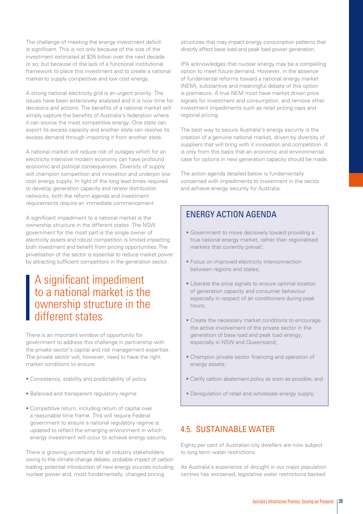The challenge of meeting the energy investment deficit is significant. This is not only because of the size of the investment estimated at \$35 billion over the next decade or so; but because of the lack of a functional institutional framework to place this investment and to create a national market to supply competitive and low cost energy.

A strong national electricity grid is an urgent priority. The issues have been extensively analysed and it is now time for decisions and actions. The benefits of a national market will simply capture the benefits of Australia's federation where it can source the most competitive energy. One state can export its excess capacity and another state can resolve its excess demand through importing it from another state.

A national market will reduce risk of outages which for an electricity intensive modern economy can have profound economic and political consequences. Diversity of supply will champion competition and innovation and underpin low cost energy supply. In light of the long lead times required to develop generation capacity and renew distribution networks, both the reform agenda and investment requirements require an immediate commencement.

A significant impediment to a national market is the ownership structure in the different states. The NSW government for the most part is the single owner of electricity assets and robust competition is limited impacting both investment and benefit from pricing opportunities. The privatisation of the sector is essential to reduce market power by attracting sufficient competitors in the generation sector.

#### A significant impediment to a national market is the ownership structure in the different states

There is an important window of opportunity for government to address this challenge in partnership with the private sector's capital and risk management expertise. The private sector will, however, need to have the right market conditions to ensure:

- Consistency, stability and predictability of policy
- Balanced and transparent regulatory regime
- Competitive return, including return of capital over a reasonable time frame. This will require Federal government to ensure a national regulatory regime is updated to reflect the emerging environment in which energy investment will occur to achieve energy security.

There is growing uncertainty for all industry stakeholders owing to the climate change debate, probable impact of carbon trading, potential introduction of new energy sources including nuclear power and, most fundamentally, changed pricing

structures that may impact energy consumption patterns that directly affect base load and peak load power generation.

IPA acknowledges that nuclear energy may be a compelling option to meet future demand. However, in the absence of fundamental reforms toward a national energy market (NEM), substantive and meaningful debate of this option is premature. A true NEM must have market driven price signals for investment and consumption, and remove other investment impediments such as retail pricing caps and regional pricing.

The best way to secure Australia's energy security is the creation of a genuine national market, driven by diversity of suppliers that will bring with it innovation and competition. It is only from this basis that an economic and environmental case for options in new generation capacity should be made.

The action agenda detailed below is fundamentally concerned with impediments to investment in the sector and achieve energy security for Australia.

#### Energy Action Agenda

- Government to move decisively toward providing a true national energy market, rather than regionalised markets that currently prevail;
- Focus on improved electricity interconnection between regions and states;
- Liberate the price signals to ensure optimal location of generation capacity and consumer behaviour especially in respect of air conditioners during peak hours;
- Create the necessary market conditions to encourage the active involvement of the private sector in the generation of base load and peak load energy, especially in NSW and Queensland;
- Champion private sector financing and operation of energy assets;
- Clarify carbon abatement policy as soon as possible; and
- Deregulation of retail and wholesale energy supply.

#### 4.5. Sustainable Water

Eighty per cent of Australian city dwellers are now subject to long term water restrictions.

As Australia's experience of drought in our major population centres has worsened, legislative water restrictions backed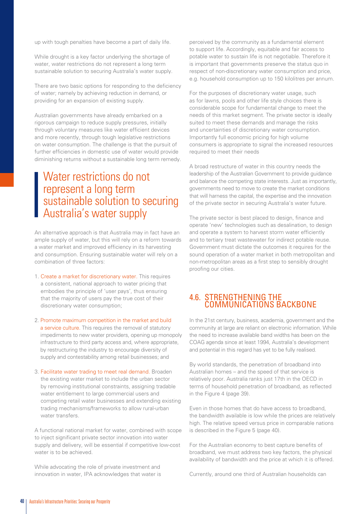up with tough penalties have become a part of daily life.

While drought is a key factor underlying the shortage of water, water restrictions do not represent a long term sustainable solution to securing Australia's water supply.

There are two basic options for responding to the deficiency of water; namely by achieving reduction in demand, or providing for an expansion of existing supply.

Australian governments have already embarked on a rigorous campaign to reduce supply pressures, initially through voluntary measures like water efficient devices and more recently, through tough legislative restrictions on water consumption. The challenge is that the pursuit of further efficiencies in domestic use of water would provide diminishing returns without a sustainable long term remedy.

#### Water restrictions do not represent a long term sustainable solution to securing Australia's water supply

An alternative approach is that Australia may in fact have an ample supply of water, but this will rely on a reform towards a water market and improved efficiency in its harvesting and consumption. Ensuring sustainable water will rely on a combination of three factors:

- 1. Create a market for discretionary water. This requires a consistent, national approach to water pricing that embodies the principle of 'user pays', thus ensuring that the majority of users pay the true cost of their discretionary water consumption;
- 2. Promote maximum competition in the market and build a service culture. This requires the removal of statutory impediments to new water providers, opening up monopoly infrastructure to third party access and, where appropriate, by restructuring the industry to encourage diversity of supply and contestability among retail businesses; and
- 3. Facilitate water trading to meet real demand. Broaden the existing water market to include the urban sector by removing institutional constraints, assigning tradable water entitlement to large commercial users and competing retail water businesses and extending existing trading mechanisms/frameworks to allow rural-urban water transfers.

A functional national market for water, combined with scope to inject significant private sector innovation into water supply and delivery, will be essential if competitive low-cost water is to be achieved.

While advocating the role of private investment and innovation in water, IPA acknowledges that water is perceived by the community as a fundamental element to support life. Accordingly, equitable and fair access to potable water to sustain life is not negotiable. Therefore it is important that governments preserve the status quo in respect of non-discretionary water consumption and price, e.g. household consumption up to 150 kilolitres per annum.

For the purposes of discretionary water usage, such as for lawns, pools and other life style choices there is considerable scope for fundamental change to meet the needs of this market segment. The private sector is ideally suited to meet these demands and manage the risks and uncertainties of discretionary water consumption. Importantly full economic pricing for high volume consumers is appropriate to signal the increased resources required to meet their needs

A broad restructure of water in this country needs the leadership of the Australian Government to provide guidance and balance the competing state interests. Just as importantly, governments need to move to create the market conditions that will harness the capital, the expertise and the innovation of the private sector in securing Australia's water future.

The private sector is best placed to design, finance and operate 'new' technologies such as desalination, to design and operate a system to harvest storm water efficiently and to tertiary treat wastewater for indirect potable reuse. Government must dictate the outcomes it requires for the sound operation of a water market in both metropolitan and non-metropolitan areas as a first step to sensibly drought proofing our cities.

#### 4.6. Strengthening the COMMUNICATIONS BACKBO

In the 21st century, business, academia, government and the community at large are reliant on electronic information. While the need to increase available band widths has been on the COAG agenda since at least 1994, Australia's development and potential in this regard has yet to be fully realised.

By world standards, the penetration of broadband into Australian homes – and the speed of that service is relatively poor. Australia ranks just 17th in the OECD in terms of household penetration of broadband, as reflected in the Figure 4 (page 39).

Even in those homes that do have access to broadband, the bandwidth available is low while the prices are relatively high. The relative speed versus price in comparable nations is described in the Figure 5 (page 40).

For the Australian economy to best capture benefits of broadband, we must address two key factors, the physical availability of bandwidth and the price at which it is offered.

Currently, around one third of Australian households can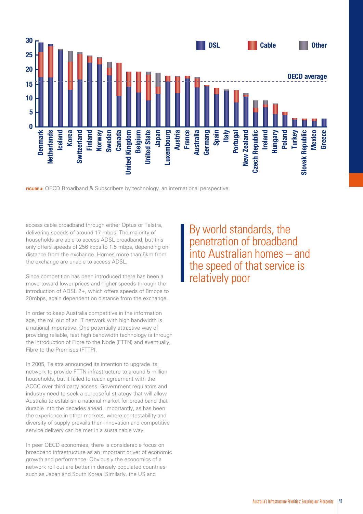

**Figure 4:** OECD Broadband & Subscribers by technology, an international perspective

access cable broadband through either Optus or Telstra, delivering speeds of around 17 mbps. The majority of households are able to access ADSL broadband, but this only offers speeds of 256 kbps to 1.5 mbps, depending on distance from the exchange. Homes more than 5km from the exchange are unable to access ADSL.

Since competition has been introduced there has been a move toward lower prices and higher speeds through the introduction of ADSL 2+, which offers speeds of 8mbps to 20mbps, again dependent on distance from the exchange.

In order to keep Australia competitive in the information age, the roll out of an IT network with high bandwidth is a national imperative. One potentially attractive way of providing reliable, fast high bandwidth technology is through the introduction of Fibre to the Node (FTTN) and eventually, Fibre to the Premises (FTTP).

In 2005, Telstra announced its intention to upgrade its network to provide FTTN infrastructure to around 5 million households, but it failed to reach agreement with the ACCC over third party access. Government regulators and industry need to seek a purposeful strategy that will allow Australia to establish a national market for broad band that durable into the decades ahead. Importantly, as has been the experience in other markets, where contestability and diversity of supply prevails then innovation and competitive service delivery can be met in a sustainable way.

In peer OECD economies, there is considerable focus on broadband infrastructure as an important driver of economic growth and performance. Obviously the economics of a network roll out are better in densely populated countries such as Japan and South Korea. Similarly, the US and

By world standards, the penetration of broadband into Australian homes – and the speed of that service is relatively poor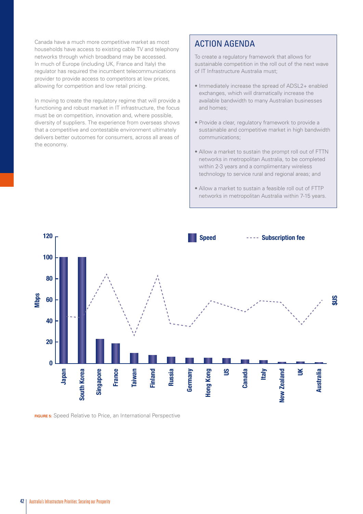Canada have a much more competitive market as most households have access to existing cable TV and telephony networks through which broadband may be accessed. In much of Europe (including UK, France and Italy) the regulator has required the incumbent telecommunications provider to provide access to competitors at low prices, allowing for competition and low retail pricing.

In moving to create the regulatory regime that will provide a functioning and robust market in IT infrastructure, the focus must be on competition, innovation and, where possible, diversity of suppliers. The experience from overseas shows that a competitive and contestable environment ultimately delivers better outcomes for consumers, across all areas of the economy.

#### Action Agenda

To create a regulatory framework that allows for sustainable competition in the roll out of the next wave of IT Infrastructure Australia must;

- Immediately increase the spread of ADSL2+ enabled exchanges, which will dramatically increase the available bandwidth to many Australian businesses and homes;
- Provide a clear, regulatory framework to provide a sustainable and competitive market in high bandwidth communications;
- Allow a market to sustain the prompt roll out of FTTN networks in metropolitan Australia, to be completed within 2-3 years and a complimentary wireless technology to service rural and regional areas; and
- Allow a market to sustain a feasible roll out of FTTP networks in metropolitan Australia within 7-15 years.



**Figure 5:** Speed Relative to Price, an International Perspective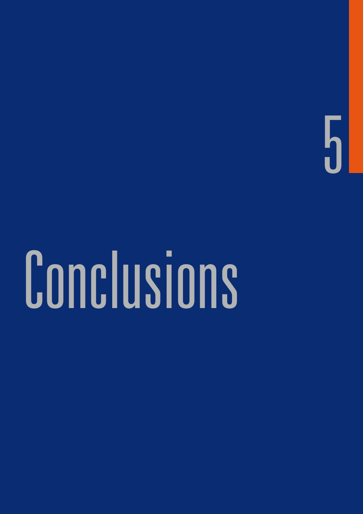**հ** 

# Conclusions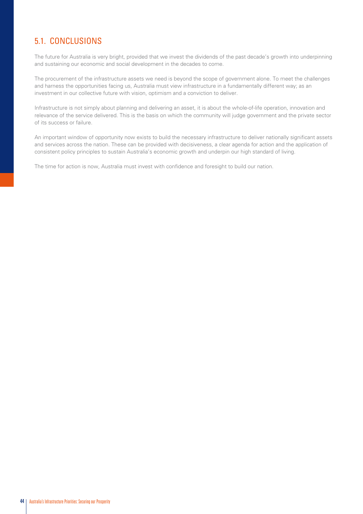#### 5.1. Conclusions

The future for Australia is very bright, provided that we invest the dividends of the past decade's growth into underpinning and sustaining our economic and social development in the decades to come.

The procurement of the infrastructure assets we need is beyond the scope of government alone. To meet the challenges and harness the opportunities facing us, Australia must view infrastructure in a fundamentally different way; as an investment in our collective future with vision, optimism and a conviction to deliver.

Infrastructure is not simply about planning and delivering an asset, it is about the whole-of-life operation, innovation and relevance of the service delivered. This is the basis on which the community will judge government and the private sector of its success or failure.

An important window of opportunity now exists to build the necessary infrastructure to deliver nationally significant assets and services across the nation. These can be provided with decisiveness, a clear agenda for action and the application of consistent policy principles to sustain Australia's economic growth and underpin our high standard of living.

The time for action is now, Australia must invest with confidence and foresight to build our nation.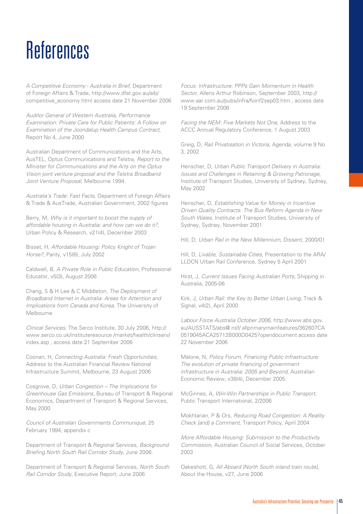## **References**

*A Competitive Economy:- Australia in Brief*, Department of Foreign Affairs & Trade, http://www.dfat.gov.au/aib/ competitive\_economy.html access date 21 November 2006

*Auditor General of Western Australia, Performance Examination: Private Care for Public Patients: A Follow on Examination of the Joondalup Health Campus Contract*, Report No 4, June 2000

Australian Department of Communications and the Arts, AusTEL, Optus Communications and Telstra, *Report to the Minister for Communications and the Arts on the Optus Vision joint venture proposal and the Telstra Broadband Joint Venture Proposal,* Melbourne 1994.

*Australia's Trade: Fast Facts,* Department of Foreign Affairs & Trade & AusTrade, Australian Government, 2002 figures

Berry, M, *Why is it important to boost the supply of affordable housing in Australia: and how can we do it?*, Urban Policy & Research, v21(4), December 2003

Bisset, H, *Affordable Housing: Policy Knight of Trojan Horse?*, Parity, v15(6), July 2002

Caldwell, B, *A Private Role in Public Education,* Professional Educator, v5(3), August 2006

Chang, S & H Lee & C Middleton, *The Deployment of Broadband Internet in Australia: Areas for Attention and Implications from Canada and Korea*, The University of **Malhourne** 

*Clinical Services,* The Serco Institute, 30 July 2006, http:// www.serco.co.uk/instituteresource /market/health/clinserv/ index.asp , access date 21 September 2006

Coonan, H, *Connecting Australia: Fresh Opportunities*, Address to the Australian Financial Review National Infrastructure Summit, Melbourne, 23 August 2006

Cosgrove, D, *Urban Congestion – The Implications for Greenhouse Gas Emissions*, Bureau of Transport & Regional Economics, Department of Transport & Regional Services, May 2000

*Council of Australian Governments Communiqué,* 25 February 1994, appendix c

Department of Transport & Regional Services, *Background Briefing North South Rail Corridor Study*, June 2006.

Department of Transport & Regional Services, *North South Rail Corridor Study*, Executive Report, June 2006

*Focus: Infrastructure: PPPs Gain Momentum in Health Sector*, Allens Arthur Robinson, September 2003, http:// www.aar.com.au/pubs/infra/foinf2sep03.htm , access date 19 September 2006

*Facing the NEM: Five Markets Not One*, Address to the ACCC Annual Regulatory Conference, 1 August 2003

Greig, D, *Rail Privatisation in Victoria*, Agenda, volume 9 No 3, 2002

Henscher, D, *Urban Public Transport Delivery in Australia: Issues and Challenges in Retaining & Growing Patronage,* Institute of Transport Studies, University of Sydney, Sydney, May 2002

Henscher, D, *Establishing Value for Money in Incentive Driven Quality Contracts: The Bus Reform Agenda in New South Wales*, Institute of Transport Studies, University of Sydney, Sydney, November 2001

Hill, D, *Urban Rail in the New Millennium*, Dissent, 2000/01

Hill, D, *Livable, Sustainable Cities*, Presentation to the ARA/ LLDCN Urban Rail Conference, Sydney 5 April 2001

Hirst, J, *Current Issues Facing Australian Ports*, Shipping in Australia, 2005-06

Kirk, J, *Urban Rail: the Key to Better Urban Living*, Track & Signal, v4(2), April 2000

*Labour Force Australia October 2006*, http://www.abs.gov. au/AUSSTATS/abs@.nsf/ allprimarymainfeatures/362607CA 0519045ACA25712B000D0425?opendocument access date 22 November 2006

Malone, N, *Policy Forum, Financing Public Infrastructure: The evolution of private financing of government infrastructure in Australia: 2005 and Beyond*, Australian Economic Review, v38(4), December 2005

McGinnes, A, *Win-Win Partnerships in Public Transport*, Public Transport International, 2/2006

Mokhtarian, P & Ors, *Reducing Road Congestion: A Reality Check [and] a Comment*, Transport Policy, April 2004

*More Affordable Housing: Submission to the Productivity Commission*, Australian Council of Social Services, October 2003

Oakeshott, G, *All Aboard [North South inland train route]*, About the House, v27, June 2006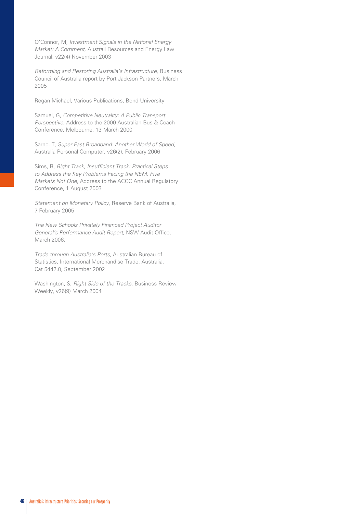O'Connor, M, *Investment Signals in the National Energy Market: A Comment,* Australi Resources and Energy Law Journal, v22(4) November 2003

*Reforming and Restoring Australia's Infrastructure*, Business Council of Australia report by Port Jackson Partners, March 2005

Regan Michael, Various Publications, Bond University

Samuel, G, *Competitive Neutrality: A Public Transport Perspective*, Address to the 2000 Australian Bus & Coach Conference, Melbourne, 13 March 2000

Sarno, T, *Super Fast Broadband: Another World of Speed*, Australia Personal Computer, v26(2), February 2006

Sims, R, *Right Track, Insufficient Track: Practical Steps to Address the Key Problems Facing the NEM: Five Markets Not One*, Address to the ACCC Annual Regulatory Conference, 1 August 2003

*Statement on Monetary Policy*, Reserve Bank of Australia, 7 February 2005

*The New Schools Privately Financed Project Auditor General's Performance Audit Report*, NSW Audit Office, March 2006.

*Trade through Australia's Ports*, Australian Bureau of Statistics, International Merchandise Trade, Australia, Cat 5442.0, September 2002

Washington, S, *Right Side of the Tracks*, Business Review Weekly, v26(9) March 2004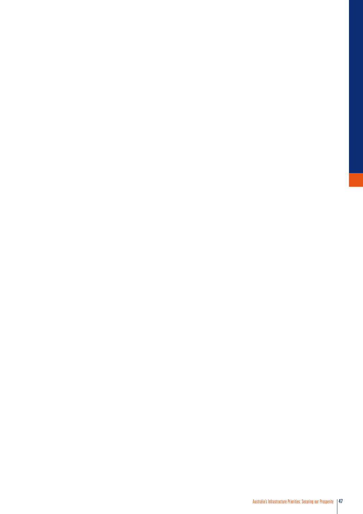Australia's Infrastructure Priorities: Securing our Prosperity 47